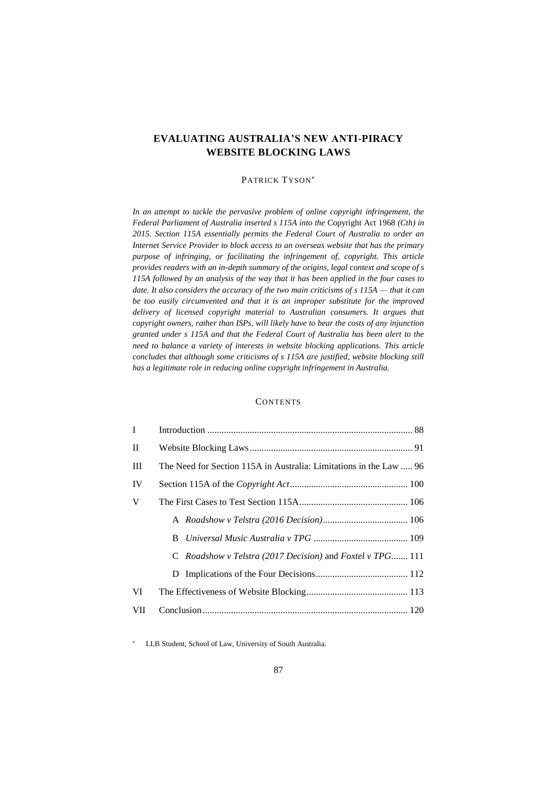# **EVALUATING AUSTRALIA'S NEW ANTI-PIRACY WEBSITE BLOCKING LAWS**

# PATRICK TYSON\*

*In an attempt to tackle the pervasive problem of online copyright infringement, the Federal Parliament of Australia inserted s 115A into the* Copyright Act 1968 *(Cth) in 2015. Section 115A essentially permits the Federal Court of Australia to order an Internet Service Provider to block access to an overseas website that has the primary purpose of infringing, or facilitating the infringement of, copyright. This article provides readers with an in-depth summary of the origins, legal context and scope of s 115A followed by an analysis of the way that it has been applied in the four cases to date. It also considers the accuracy of the two main criticisms of s 115A — that it can be too easily circumvented and that it is an improper substitute for the improved delivery of licensed copyright material to Australian consumers. It argues that copyright owners, rather than ISPs, will likely have to bear the costs of any injunction granted under s 115A and that the Federal Court of Australia has been alert to the need to balance a variety of interests in website blocking applications. This article concludes that although some criticisms of s 115A are justified, website blocking still has a legitimate role in reducing online copyright infringement in Australia.* 

# **CONTENTS**

| $\mathbf{I}$ |                                                                         |
|--------------|-------------------------------------------------------------------------|
| П            |                                                                         |
| III          | The Need for Section 115A in Australia: Limitations in the Law  96      |
| IV           |                                                                         |
| V            |                                                                         |
|              |                                                                         |
|              | B.                                                                      |
|              | C <i>Roadshow v Telstra (2017 Decision)</i> and <i>Foxtel v TPG</i> 111 |
|              |                                                                         |
| VI           |                                                                         |
| <b>VII</b>   |                                                                         |

LLB Student, School of Law, University of South Australia.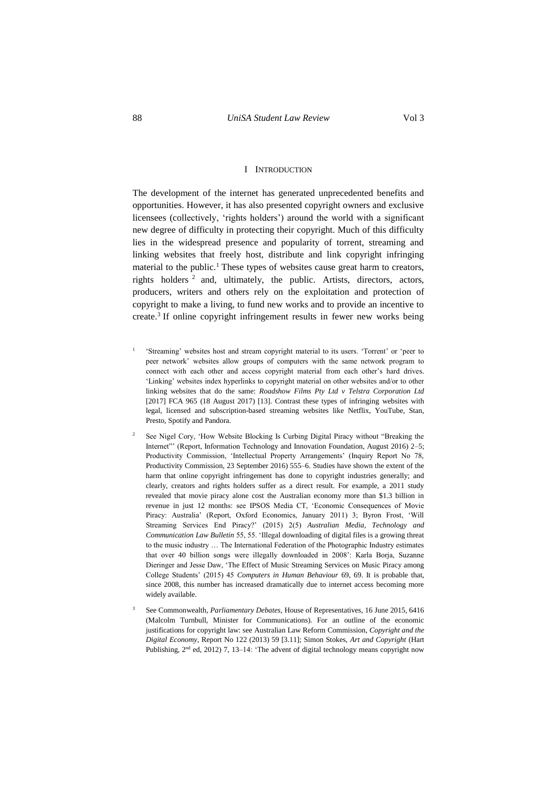# I INTRODUCTION

<span id="page-1-0"></span>The development of the internet has generated unprecedented benefits and opportunities. However, it has also presented copyright owners and exclusive licensees (collectively, 'rights holders') around the world with a significant new degree of difficulty in protecting their copyright. Much of this difficulty lies in the widespread presence and popularity of torrent, streaming and linking websites that freely host, distribute and link copyright infringing material to the public.<sup>1</sup> These types of websites cause great harm to creators, rights holders  $2$  and, ultimately, the public. Artists, directors, actors, producers, writers and others rely on the exploitation and protection of copyright to make a living, to fund new works and to provide an incentive to create.<sup>3</sup> If online copyright infringement results in fewer new works being

- 1 'Streaming' websites host and stream copyright material to its users. 'Torrent' or 'peer to peer network' websites allow groups of computers with the same network program to connect with each other and access copyright material from each other's hard drives. 'Linking' websites index hyperlinks to copyright material on other websites and/or to other linking websites that do the same: *Roadshow Films Pty Ltd v Telstra Corporation Ltd*  [2017] FCA 965 (18 August 2017) [13]. Contrast these types of infringing websites with legal, licensed and subscription-based streaming websites like Netflix, YouTube, Stan, Presto, Spotify and Pandora.
- <sup>2</sup> See Nigel Cory, 'How Website Blocking Is Curbing Digital Piracy without "Breaking the Internet"" (Report, Information Technology and Innovation Foundation, August 2016) 2-5; Productivity Commission, 'Intellectual Property Arrangements' (Inquiry Report No 78, Productivity Commission, 23 September 2016) 555–6. Studies have shown the extent of the harm that online copyright infringement has done to copyright industries generally; and clearly, creators and rights holders suffer as a direct result. For example, a 2011 study revealed that movie piracy alone cost the Australian economy more than \$1.3 billion in revenue in just 12 months: see IPSOS Media CT, 'Economic Consequences of Movie Piracy: Australia' (Report, Oxford Economics, January 2011) 3; Byron Frost, 'Will Streaming Services End Piracy?' (2015) 2(5) *Australian Media, Technology and Communication Law Bulletin* 55, 55. 'Illegal downloading of digital files is a growing threat to the music industry … The International Federation of the Photographic Industry estimates that over 40 billion songs were illegally downloaded in 2008': Karla Borja, Suzanne Dieringer and Jesse Daw, 'The Effect of Music Streaming Services on Music Piracy among College Students' (2015) 45 *Computers in Human Behaviour* 69, 69. It is probable that, since 2008, this number has increased dramatically due to internet access becoming more widely available.
- <sup>3</sup> See Commonwealth, *Parliamentary Debates,* House of Representatives, 16 June 2015, 6416 (Malcolm Turnbull, Minister for Communications). For an outline of the economic justifications for copyright law: see Australian Law Reform Commission, *Copyright and the Digital Economy*, Report No 122 (2013) 59 [3.11]; Simon Stokes, *Art and Copyright* (Hart Publishing, 2<sup>nd</sup> ed, 2012) 7, 13-14: 'The advent of digital technology means copyright now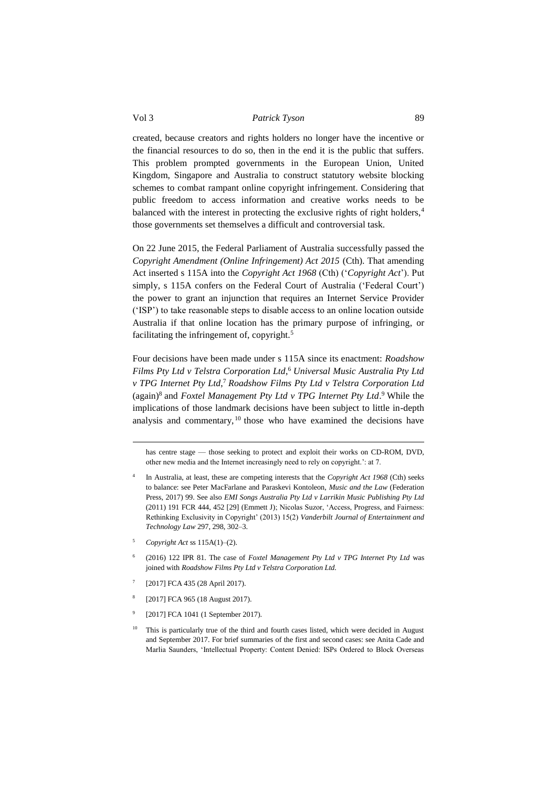created, because creators and rights holders no longer have the incentive or the financial resources to do so, then in the end it is the public that suffers. This problem prompted governments in the European Union, United Kingdom, Singapore and Australia to construct statutory website blocking schemes to combat rampant online copyright infringement. Considering that public freedom to access information and creative works needs to be balanced with the interest in protecting the exclusive rights of right holders,<sup>4</sup> those governments set themselves a difficult and controversial task.

On 22 June 2015, the Federal Parliament of Australia successfully passed the *Copyright Amendment (Online Infringement) Act 2015* (Cth). That amending Act inserted s 115A into the *Copyright Act 1968* (Cth) ('*Copyright Act*'). Put simply, s 115A confers on the Federal Court of Australia ('Federal Court') the power to grant an injunction that requires an Internet Service Provider ('ISP') to take reasonable steps to disable access to an online location outside Australia if that online location has the primary purpose of infringing, or facilitating the infringement of, copyright.<sup>5</sup>

Four decisions have been made under s 115A since its enactment: *Roadshow Films Pty Ltd v Telstra Corporation Ltd*, <sup>6</sup> *Universal Music Australia Pty Ltd v TPG Internet Pty Ltd*, <sup>7</sup> *Roadshow Films Pty Ltd v Telstra Corporation Ltd* (again)<sup>8</sup> and *Foxtel Management Pty Ltd v TPG Internet Pty Ltd.*<sup>9</sup> While the implications of those landmark decisions have been subject to little in-depth analysis and commentary, <sup>10</sup> those who have examined the decisions have

has centre stage — those seeking to protect and exploit their works on CD-ROM, DVD, other new media and the Internet increasingly need to rely on copyright.': at 7.

- 4 In Australia, at least, these are competing interests that the *Copyright Act 1968* (Cth) seeks to balance: see Peter MacFarlane and Paraskevi Kontoleon, *Music and the Law* (Federation Press, 2017) 99. See also *EMI Songs Australia Pty Ltd v Larrikin Music Publishing Pty Ltd* (2011) 191 FCR 444, 452 [29] (Emmett J); Nicolas Suzor, 'Access, Progress, and Fairness: Rethinking Exclusivity in Copyright' (2013) 15(2) *Vanderbilt Journal of Entertainment and Technology Law* 297, 298, 302–3.
- <sup>5</sup> *Copyright Act* ss 115A(1)–(2).

1

- 6 (2016) 122 IPR 81. The case of *Foxtel Management Pty Ltd v TPG Internet Pty Ltd* was joined with *Roadshow Films Pty Ltd v Telstra Corporation Ltd.*
- 7 [2017] FCA 435 (28 April 2017).
- 8 [2017] FCA 965 (18 August 2017).
- 9 [2017] FCA 1041 (1 September 2017).
- $10$  This is particularly true of the third and fourth cases listed, which were decided in August and September 2017. For brief summaries of the first and second cases: see Anita Cade and Marlia Saunders, 'Intellectual Property: Content Denied: ISPs Ordered to Block Overseas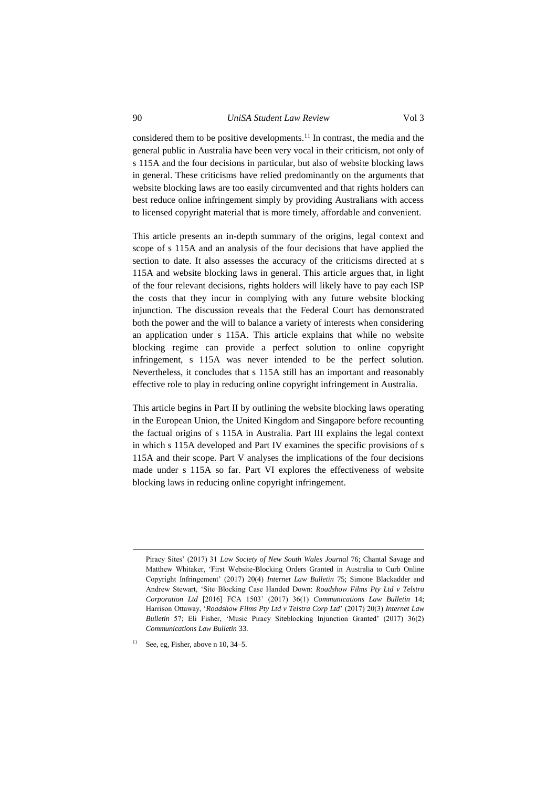considered them to be positive developments.<sup>11</sup> In contrast, the media and the general public in Australia have been very vocal in their criticism, not only of s 115A and the four decisions in particular, but also of website blocking laws

in general. These criticisms have relied predominantly on the arguments that website blocking laws are too easily circumvented and that rights holders can best reduce online infringement simply by providing Australians with access to licensed copyright material that is more timely, affordable and convenient.

This article presents an in-depth summary of the origins, legal context and scope of s 115A and an analysis of the four decisions that have applied the section to date. It also assesses the accuracy of the criticisms directed at s 115A and website blocking laws in general. This article argues that, in light of the four relevant decisions, rights holders will likely have to pay each ISP the costs that they incur in complying with any future website blocking injunction. The discussion reveals that the Federal Court has demonstrated both the power and the will to balance a variety of interests when considering an application under s 115A. This article explains that while no website blocking regime can provide a perfect solution to online copyright infringement, s 115A was never intended to be the perfect solution. Nevertheless, it concludes that s 115A still has an important and reasonably effective role to play in reducing online copyright infringement in Australia.

This article begins in Part II by outlining the website blocking laws operating in the European Union, the United Kingdom and Singapore before recounting the factual origins of s 115A in Australia. Part III explains the legal context in which s 115A developed and Part IV examines the specific provisions of s 115A and their scope. Part V analyses the implications of the four decisions made under s 115A so far. Part VI explores the effectiveness of website blocking laws in reducing online copyright infringement.

<u>.</u>

Piracy Sites' (2017) 31 *Law Society of New South Wales Journal* 76; Chantal Savage and Matthew Whitaker, 'First Website-Blocking Orders Granted in Australia to Curb Online Copyright Infringement' (2017) 20(4) *Internet Law Bulletin* 75; Simone Blackadder and Andrew Stewart, 'Site Blocking Case Handed Down: *Roadshow Films Pty Ltd v Telstra Corporation Ltd* [2016] FCA 1503' (2017) 36(1) *Communications Law Bulletin* 14; Harrison Ottaway, '*Roadshow Films Pty Ltd v Telstra Corp Ltd*' (2017) 20(3) *Internet Law Bulletin* 57; Eli Fisher, 'Music Piracy Siteblocking Injunction Granted' (2017) 36(2) *Communications Law Bulletin* 33.

See, eg, Fisher, above n 10, 34–5.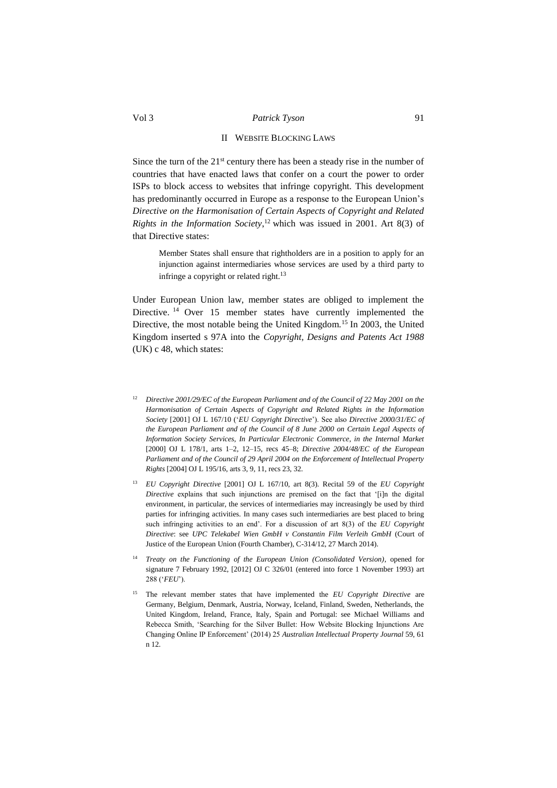# II WEBSITE BLOCKING LAWS

<span id="page-4-0"></span>Since the turn of the  $21<sup>st</sup>$  century there has been a steady rise in the number of countries that have enacted laws that confer on a court the power to order ISPs to block access to websites that infringe copyright. This development has predominantly occurred in Europe as a response to the European Union's *Directive on the Harmonisation of Certain Aspects of Copyright and Related Rights in the Information Society*, <sup>12</sup> which was issued in 2001. Art 8(3) of that Directive states:

Member States shall ensure that rightholders are in a position to apply for an injunction against intermediaries whose services are used by a third party to infringe a copyright or related right.<sup>13</sup>

Under European Union law, member states are obliged to implement the Directive. <sup>14</sup> Over 15 member states have currently implemented the Directive, the most notable being the United Kingdom.<sup>15</sup> In 2003, the United Kingdom inserted s 97A into the *Copyright, Designs and Patents Act 1988*  (UK) c 48, which states:

- <sup>12</sup> *Directive 2001/29/EC of the European Parliament and of the Council of 22 May 2001 on the Harmonisation of Certain Aspects of Copyright and Related Rights in the Information Society* [2001] OJ L 167/10 ('*EU Copyright Directive*'). See also *Directive 2000/31/EC of the European Parliament and of the Council of 8 June 2000 on Certain Legal Aspects of Information Society Services, In Particular Electronic Commerce, in the Internal Market*  [2000] OJ L 178/1, arts 1–2, 12–15, recs 45–8; *Directive 2004/48/EC of the European Parliament and of the Council of 29 April 2004 on the Enforcement of Intellectual Property Rights* [2004] OJ L 195/16, arts 3, 9, 11, recs 23, 32.
- <sup>13</sup> *EU Copyright Directive* [2001] OJ L 167/10, art 8(3). Recital 59 of the *EU Copyright Directive* explains that such injunctions are premised on the fact that '[i]n the digital environment, in particular, the services of intermediaries may increasingly be used by third parties for infringing activities. In many cases such intermediaries are best placed to bring such infringing activities to an end'. For a discussion of art 8(3) of the *EU Copyright Directive*: see *UPC Telekabel Wien GmbH v Constantin Film Verleih GmbH* (Court of Justice of the European Union (Fourth Chamber), C-314/12, 27 March 2014).
- <sup>14</sup> *Treaty on the Functioning of the European Union (Consolidated Version)*, opened for signature 7 February 1992, [2012] OJ C 326/01 (entered into force 1 November 1993) art 288 ('*FEU*').
- <sup>15</sup> The relevant member states that have implemented the *EU Copyright Directive* are Germany, Belgium, Denmark, Austria, Norway, Iceland, Finland, Sweden, Netherlands, the United Kingdom, Ireland, France, Italy, Spain and Portugal: see Michael Williams and Rebecca Smith, 'Searching for the Silver Bullet: How Website Blocking Injunctions Are Changing Online IP Enforcement' (2014) 25 *Australian Intellectual Property Journal* 59, 61 n 12.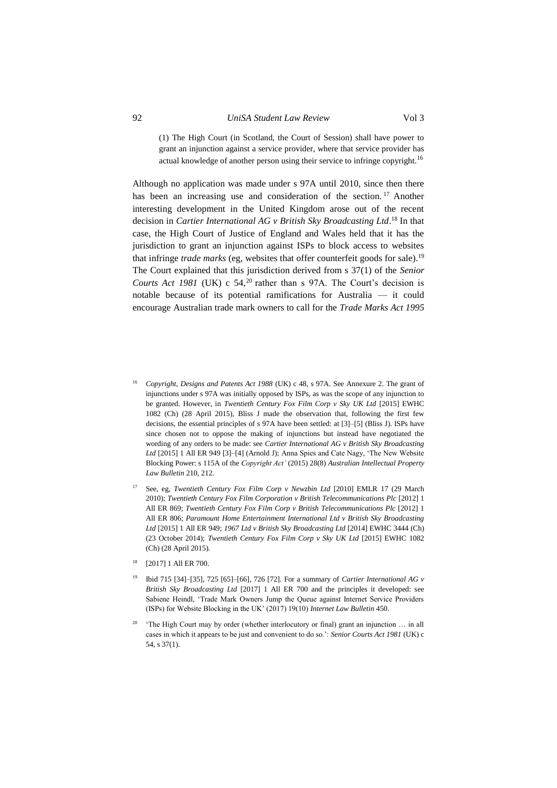(1) The High Court (in Scotland, the Court of Session) shall have power to grant an injunction against a service provider, where that service provider has actual knowledge of another person using their service to infringe copyright.<sup>16</sup>

Although no application was made under s 97A until 2010, since then there has been an increasing use and consideration of the section.<sup>17</sup> Another interesting development in the United Kingdom arose out of the recent decision in *Cartier International AG v British Sky Broadcasting Ltd*. <sup>18</sup> In that case, the High Court of Justice of England and Wales held that it has the jurisdiction to grant an injunction against ISPs to block access to websites that infringe *trade marks* (eg, websites that offer counterfeit goods for sale).<sup>19</sup> The Court explained that this jurisdiction derived from s 37(1) of the *Senior Courts Act 1981* (UK) c 54,<sup>20</sup> rather than s 97A. The Court's decision is notable because of its potential ramifications for Australia — it could encourage Australian trade mark owners to call for the *Trade Marks Act 1995*

- <sup>16</sup> *Copyright, Designs and Patents Act 1988* (UK) c 48, s 97A. See Annexure 2. The grant of injunctions under s 97A was initially opposed by ISPs, as was the scope of any injunction to be granted. However, in *Twentieth Century Fox Film Corp v Sky UK Ltd* [2015] EWHC 1082 (Ch) (28 April 2015), Bliss J made the observation that, following the first few decisions, the essential principles of s 97A have been settled: at [3]–[5] (Bliss J). ISPs have since chosen not to oppose the making of injunctions but instead have negotiated the wording of any orders to be made: see *Cartier International AG v British Sky Broadcasting*  Ltd [2015] 1 All ER 949 [3]-[4] (Arnold J); Anna Spies and Cate Nagy, 'The New Website Blocking Power: s 115A of the *Copyright Act'* (2015) 28(8) *Australian Intellectual Property Law Bulletin* 210, 212.
- <sup>17</sup> See, eg, *Twentieth Century Fox Film Corp v Newzbin Ltd* [2010] EMLR 17 (29 March 2010); *Twentieth Century Fox Film Corporation v British Telecommunications Plc* [2012] 1 All ER 869; *Twentieth Century Fox Film Corp v British Telecommunications Plc* [2012] 1 All ER 806; *Paramount Home Entertainment International Ltd v British Sky Broadcasting Ltd* [2015] 1 All ER 949; *1967 Ltd v British Sky Broadcasting Ltd* [2014] EWHC 3444 (Ch) (23 October 2014); *Twentieth Century Fox Film Corp v Sky UK Ltd* [2015] EWHC 1082 (Ch) (28 April 2015).
- [2017] 1 All ER 700.
- <sup>19</sup> Ibid 715 [34]–[35], 725 [65]–[66], 726 [72]. For a summary of *Cartier International AG v British Sky Broadcasting Ltd* [2017] 1 All ER 700 and the principles it developed: see Sabiene Heindl, 'Trade Mark Owners Jump the Queue against Internet Service Providers (ISPs) for Website Blocking in the UK' (2017) 19(10) *Internet Law Bulletin* 450.
- 20 'The High Court may by order (whether interlocutory or final) grant an injunction … in all cases in which it appears to be just and convenient to do so.': *Senior Courts Act 1981* (UK) c 54, s 37(1).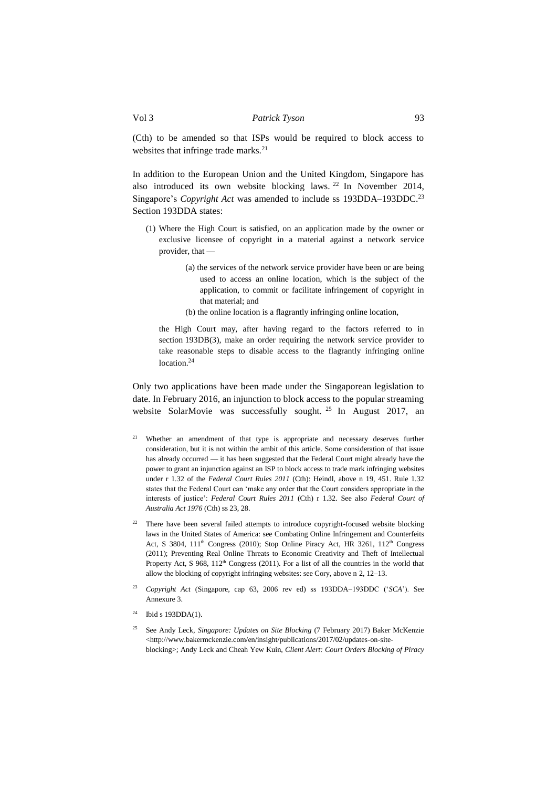(Cth) to be amended so that ISPs would be required to block access to websites that infringe trade marks.<sup>21</sup>

In addition to the European Union and the United Kingdom, Singapore has also introduced its own website blocking laws. <sup>22</sup> In November 2014, Singapore's *Copyright Act* was amended to include ss 193DDA-193DDC.<sup>23</sup> Section 193DDA states:

- (1) Where the High Court is satisfied, on an application made by the owner or exclusive licensee of copyright in a material against a network service provider, that —
	- (a) the services of the network service provider have been or are being used to access an online location, which is the subject of the application, to commit or facilitate infringement of copyright in that material; and
	- (b) the online location is a flagrantly infringing online location,

the High Court may, after having regard to the factors referred to in section 193DB(3), make an order requiring the network service provider to take reasonable steps to disable access to the flagrantly infringing online location.<sup>24</sup>

Only two applications have been made under the Singaporean legislation to date. In February 2016, an injunction to block access to the popular streaming website SolarMovie was successfully sought. <sup>25</sup> In August 2017, an

- <sup>21</sup> Whether an amendment of that type is appropriate and necessary deserves further consideration, but it is not within the ambit of this article. Some consideration of that issue has already occurred — it has been suggested that the Federal Court might already have the power to grant an injunction against an ISP to block access to trade mark infringing websites under r 1.32 of the *Federal Court Rules 2011* (Cth): Heindl, above n 19, 451. Rule 1.32 states that the Federal Court can 'make any order that the Court considers appropriate in the interests of justice': *Federal Court Rules 2011* (Cth) r 1.32. See also *Federal Court of Australia Act 1976* (Cth) ss 23, 28.
- There have been several failed attempts to introduce copyright-focused website blocking laws in the United States of America: see Combating Online Infringement and Counterfeits Act, S 3804, 111<sup>th</sup> Congress (2010); Stop Online Piracy Act, HR 3261, 112<sup>th</sup> Congress (2011); Preventing Real Online Threats to Economic Creativity and Theft of Intellectual Property Act, S 968, 112<sup>th</sup> Congress (2011). For a list of all the countries in the world that allow the blocking of copyright infringing websites: see Cory, above n 2, 12–13.
- <sup>23</sup> *Copyright Act* (Singapore, cap 63, 2006 rev ed) ss 193DDA–193DDC ('*SCA*'). See Annexure 3.
- Ibid s  $193$ DDA $(1)$ .
- <sup>25</sup> See Andy Leck, *Singapore: Updates on Site Blocking* (7 February 2017) Baker McKenzie <http://www.bakermckenzie.com/en/insight/publications/2017/02/updates-on-siteblocking>; Andy Leck and Cheah Yew Kuin, *Client Alert: Court Orders Blocking of Piracy*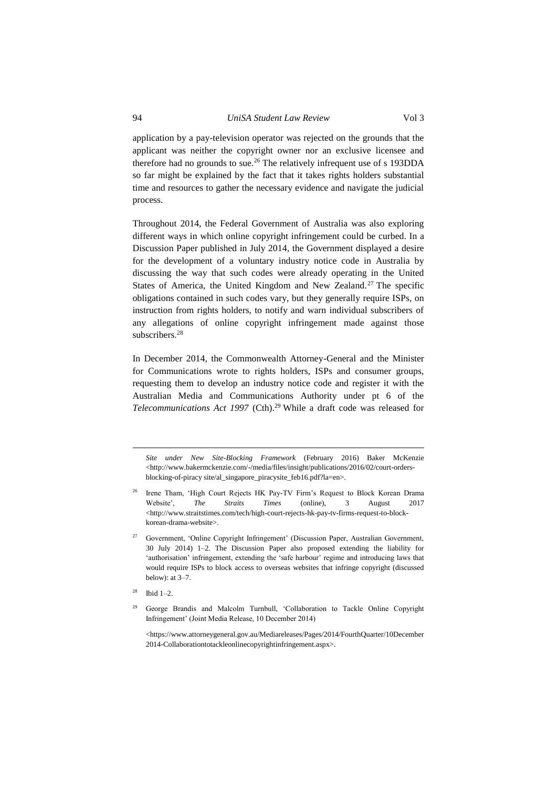application by a pay-television operator was rejected on the grounds that the applicant was neither the copyright owner nor an exclusive licensee and therefore had no grounds to sue.<sup>26</sup> The relatively infrequent use of s 193DDA so far might be explained by the fact that it takes rights holders substantial time and resources to gather the necessary evidence and navigate the judicial process.

Throughout 2014, the Federal Government of Australia was also exploring different ways in which online copyright infringement could be curbed. In a Discussion Paper published in July 2014, the Government displayed a desire for the development of a voluntary industry notice code in Australia by discussing the way that such codes were already operating in the United States of America, the United Kingdom and New Zealand.<sup>27</sup> The specific obligations contained in such codes vary, but they generally require ISPs, on instruction from rights holders, to notify and warn individual subscribers of any allegations of online copyright infringement made against those subscribers.<sup>28</sup>

In December 2014, the Commonwealth Attorney-General and the Minister for Communications wrote to rights holders, ISPs and consumer groups, requesting them to develop an industry notice code and register it with the Australian Media and Communications Authority under pt 6 of the *Telecommunications Act 1997* (Cth).<sup>29</sup> While a draft code was released for

*Site under New Site-Blocking Framework* (February 2016) Baker McKenzie <http://www.bakermckenzie.com/-/media/files/insight/publications/2016/02/court-ordersblocking-of-piracy site/al\_singapore\_piracysite\_feb16.pdf?la=en>.

- <sup>26</sup> Irene Tham, 'High Court Rejects HK Pay-TV Firm's Request to Block Korean Drama Website', *The Straits Times* (online), 3 August 2017 <http://www.straitstimes.com/tech/high-court-rejects-hk-pay-tv-firms-request-to-blockkorean-drama-website>.
- <sup>27</sup> Government, 'Online Copyright Infringement' (Discussion Paper, Australian Government, 30 July 2014) 1–2. The Discussion Paper also proposed extending the liability for 'authorisation' infringement, extending the 'safe harbour' regime and introducing laws that would require ISPs to block access to overseas websites that infringe copyright (discussed below): at 3–7.
- <sup>28</sup> Ibid 1–2.

1

<sup>29</sup> George Brandis and Malcolm Turnbull, 'Collaboration to Tackle Online Copyright Infringement' (Joint Media Release, 10 December 2014)

<https://www.attorneygeneral.gov.au/Mediareleases/Pages/2014/FourthQuarter/10December 2014-Collaborationtotackleonlinecopyrightinfringement.aspx>.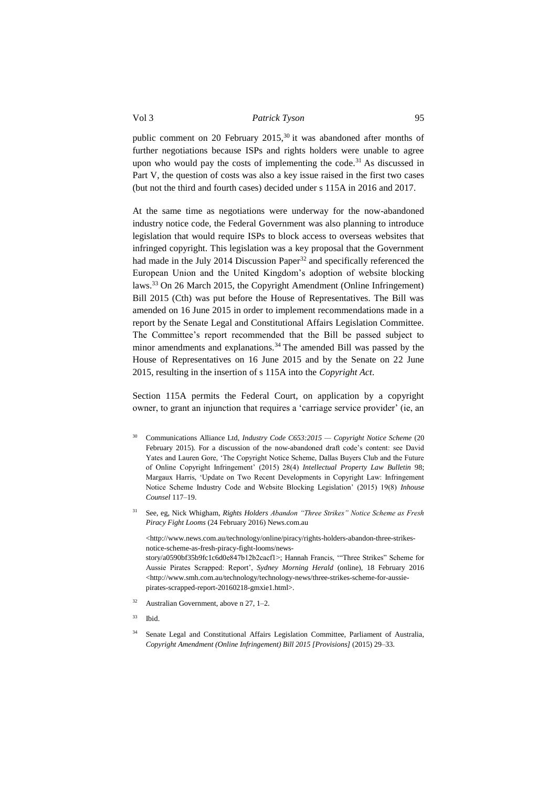public comment on 20 February 2015,<sup>30</sup> it was abandoned after months of further negotiations because ISPs and rights holders were unable to agree upon who would pay the costs of implementing the code.<sup>31</sup> As discussed in Part V, the question of costs was also a key issue raised in the first two cases (but not the third and fourth cases) decided under s 115A in 2016 and 2017.

At the same time as negotiations were underway for the now-abandoned industry notice code, the Federal Government was also planning to introduce legislation that would require ISPs to block access to overseas websites that infringed copyright. This legislation was a key proposal that the Government had made in the July 2014 Discussion Paper<sup>32</sup> and specifically referenced the European Union and the United Kingdom's adoption of website blocking laws.<sup>33</sup> On 26 March 2015, the Copyright Amendment (Online Infringement) Bill 2015 (Cth) was put before the House of Representatives. The Bill was amended on 16 June 2015 in order to implement recommendations made in a report by the Senate Legal and Constitutional Affairs Legislation Committee. The Committee's report recommended that the Bill be passed subject to minor amendments and explanations.<sup>34</sup> The amended Bill was passed by the House of Representatives on 16 June 2015 and by the Senate on 22 June 2015, resulting in the insertion of s 115A into the *Copyright Act*.

Section 115A permits the Federal Court, on application by a copyright owner, to grant an injunction that requires a 'carriage service provider' (ie, an

- <sup>30</sup> Communications Alliance Ltd, *Industry Code C653:2015 — Copyright Notice Scheme* (20 February 2015). For a discussion of the now-abandoned draft code's content: see David Yates and Lauren Gore, 'The Copyright Notice Scheme, Dallas Buyers Club and the Future of Online Copyright Infringement' (2015) 28(4) *Intellectual Property Law Bulletin* 98; Margaux Harris, 'Update on Two Recent Developments in Copyright Law: Infringement Notice Scheme Industry Code and Website Blocking Legislation' (2015) 19(8) *Inhouse Counsel* 117–19.
- <sup>31</sup> See, eg, Nick Whigham, *Rights Holders Abandon "Three Strikes" Notice Scheme as Fresh Piracy Fight Looms* (24 February 2016) News.com.au

<http://www.news.com.au/technology/online/piracy/rights-holders-abandon-three-strikesnotice-scheme-as-fresh-piracy-fight-looms/newsstory/a0590bf35b9fc1c6d0e847b12b2cacf1>; Hannah Francis, '"Three Strikes" Scheme for Aussie Pirates Scrapped: Report', *Sydney Morning Herald* (online), 18 February 2016 <http://www.smh.com.au/technology/technology-news/three-strikes-scheme-for-aussiepirates-scrapped-report-20160218-gmxie1.html>.

- $32$  Australian Government, above n 27, 1–2.
- $33$  Ibid.
- <sup>34</sup> Senate Legal and Constitutional Affairs Legislation Committee, Parliament of Australia, *Copyright Amendment (Online Infringement) Bill 2015 [Provisions]* (2015) 29–33.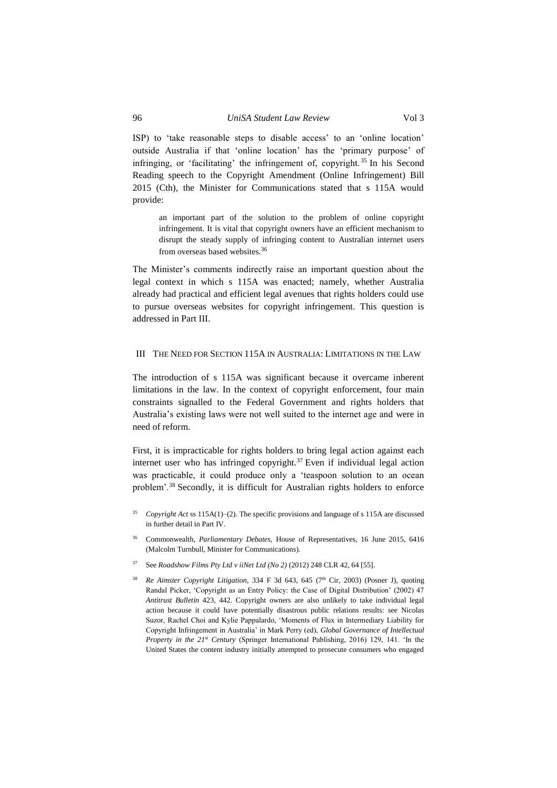ISP) to 'take reasonable steps to disable access' to an 'online location' outside Australia if that 'online location' has the 'primary purpose' of infringing, or 'facilitating' the infringement of, copyright. <sup>35</sup> In his Second Reading speech to the Copyright Amendment (Online Infringement) Bill 2015 (Cth), the Minister for Communications stated that s 115A would provide:

an important part of the solution to the problem of online copyright infringement. It is vital that copyright owners have an efficient mechanism to disrupt the steady supply of infringing content to Australian internet users from overseas based websites.<sup>36</sup>

The Minister's comments indirectly raise an important question about the legal context in which s 115A was enacted; namely, whether Australia already had practical and efficient legal avenues that rights holders could use to pursue overseas websites for copyright infringement. This question is addressed in Part III.

#### <span id="page-9-0"></span>III THE NEED FOR SECTION 115A IN AUSTRALIA: LIMITATIONS IN THE LAW

The introduction of s 115A was significant because it overcame inherent limitations in the law. In the context of copyright enforcement, four main constraints signalled to the Federal Government and rights holders that Australia's existing laws were not well suited to the internet age and were in need of reform.

First, it is impracticable for rights holders to bring legal action against each internet user who has infringed copyright. $37$  Even if individual legal action was practicable, it could produce only a 'teaspoon solution to an ocean problem'.<sup>38</sup> Secondly, it is difficult for Australian rights holders to enforce

- <sup>35</sup> *Copyright Act* ss 115A(1)–(2). The specific provisions and language of s 115A are discussed in further detail in Part IV.
- <sup>36</sup> Commonwealth, *Parliamentary Debates,* House of Representatives, 16 June 2015, 6416 (Malcolm Turnbull, Minister for Communications).
- <sup>37</sup> See *Roadshow Films Pty Ltd v iiNet Ltd (No 2)* (2012) 248 CLR 42, 64 [55].
- <sup>38</sup> *Re Aimster Copyright Litigation*, 334 F 3d 643, 645 ( $7<sup>th</sup>$  Cir, 2003) (Posner J), quoting Randal Picker, 'Copyright as an Entry Policy: the Case of Digital Distribution' (2002) 47 *Antitrust Bulletin* 423, 442. Copyright owners are also unlikely to take individual legal action because it could have potentially disastrous public relations results: see Nicolas Suzor, Rachel Choi and Kylie Pappalardo, 'Moments of Flux in Intermediary Liability for Copyright Infringement in Australia' in Mark Perry (ed), *Global Governance of Intellectual Property in the 21st Century* (Springer International Publishing, 2016) 129, 141. 'In the United States the content industry initially attempted to prosecute consumers who engaged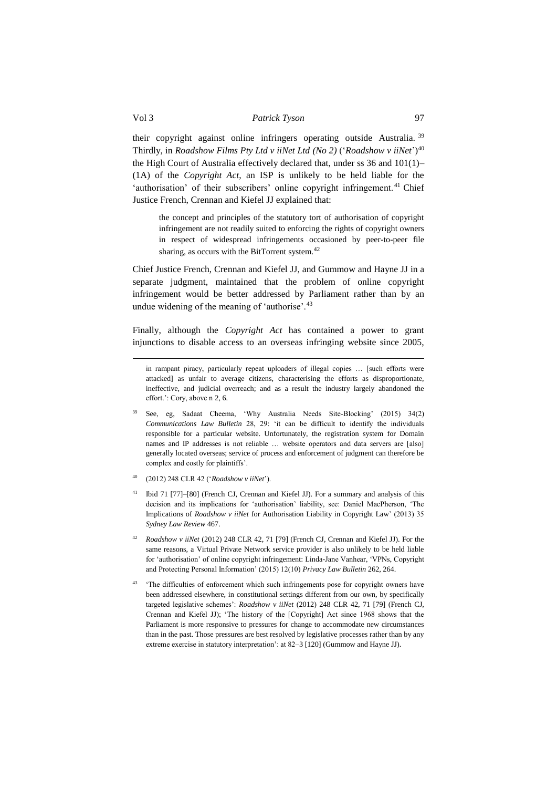their copyright against online infringers operating outside Australia. <sup>39</sup> Thirdly, in *Roadshow Films Pty Ltd v iiNet Ltd (No 2)* ('*Roadshow v iiNet*')<sup>40</sup> the High Court of Australia effectively declared that, under ss 36 and 101(1)– (1A) of the *Copyright Act*, an ISP is unlikely to be held liable for the 'authorisation' of their subscribers' online copyright infringement.<sup>41</sup> Chief Justice French, Crennan and Kiefel JJ explained that:

the concept and principles of the statutory tort of authorisation of copyright infringement are not readily suited to enforcing the rights of copyright owners in respect of widespread infringements occasioned by peer-to-peer file sharing, as occurs with the BitTorrent system.<sup>42</sup>

Chief Justice French, Crennan and Kiefel JJ, and Gummow and Hayne JJ in a separate judgment, maintained that the problem of online copyright infringement would be better addressed by Parliament rather than by an undue widening of the meaning of 'authorise'.<sup>43</sup>

Finally, although the *Copyright Act* has contained a power to grant injunctions to disable access to an overseas infringing website since 2005,

- <sup>40</sup> (2012) 248 CLR 42 ('*Roadshow v iiNet*').
- <sup>41</sup> Ibid 71 [77]–[80] (French CJ, Crennan and Kiefel JJ). For a summary and analysis of this decision and its implications for 'authorisation' liability, see: Daniel MacPherson, 'The Implications of *Roadshow v iiNet* for Authorisation Liability in Copyright Law' (2013) 35 *Sydney Law Review* 467.
- <sup>42</sup> *Roadshow v iiNet* (2012) 248 CLR 42, 71 [79] (French CJ, Crennan and Kiefel JJ). For the same reasons, a Virtual Private Network service provider is also unlikely to be held liable for 'authorisation' of online copyright infringement: Linda-Jane Vanhear, 'VPNs, Copyright and Protecting Personal Information' (2015) 12(10) *Privacy Law Bulletin* 262, 264.
- <sup>43</sup> 'The difficulties of enforcement which such infringements pose for copyright owners have been addressed elsewhere, in constitutional settings different from our own, by specifically targeted legislative schemes': *Roadshow v iiNet* (2012) 248 CLR 42, 71 [79] (French CJ, Crennan and Kiefel JJ); 'The history of the [Copyright] Act since 1968 shows that the Parliament is more responsive to pressures for change to accommodate new circumstances than in the past. Those pressures are best resolved by legislative processes rather than by any extreme exercise in statutory interpretation': at 82–3 [120] (Gummow and Hayne JJ).

<u>.</u>

in rampant piracy, particularly repeat uploaders of illegal copies … [such efforts were attacked] as unfair to average citizens, characterising the efforts as disproportionate, ineffective, and judicial overreach; and as a result the industry largely abandoned the effort.': Cory, above n 2, 6.

<sup>39</sup> See, eg, Sadaat Cheema, 'Why Australia Needs Site-Blocking' (2015) 34(2) *Communications Law Bulletin* 28, 29: 'it can be difficult to identify the individuals responsible for a particular website. Unfortunately, the registration system for Domain names and IP addresses is not reliable … website operators and data servers are [also] generally located overseas; service of process and enforcement of judgment can therefore be complex and costly for plaintiffs'.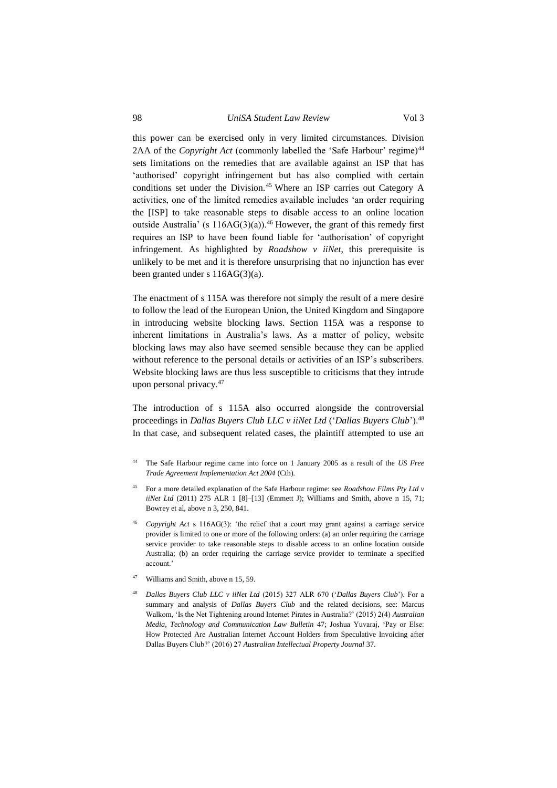# 98 *UniSA Student Law Review* Vol 3

this power can be exercised only in very limited circumstances. Division 2AA of the *Copyright Act* (commonly labelled the 'Safe Harbour' regime)<sup>44</sup> sets limitations on the remedies that are available against an ISP that has 'authorised' copyright infringement but has also complied with certain conditions set under the Division.<sup>45</sup> Where an ISP carries out Category A activities, one of the limited remedies available includes 'an order requiring the [ISP] to take reasonable steps to disable access to an online location outside Australia' (s  $116AG(3)(a)$ ).<sup>46</sup> However, the grant of this remedy first requires an ISP to have been found liable for 'authorisation' of copyright infringement. As highlighted by *Roadshow v iiNet*, this prerequisite is unlikely to be met and it is therefore unsurprising that no injunction has ever been granted under s 116AG(3)(a).

The enactment of s 115A was therefore not simply the result of a mere desire to follow the lead of the European Union, the United Kingdom and Singapore in introducing website blocking laws. Section 115A was a response to inherent limitations in Australia's laws. As a matter of policy, website blocking laws may also have seemed sensible because they can be applied without reference to the personal details or activities of an ISP's subscribers. Website blocking laws are thus less susceptible to criticisms that they intrude upon personal privacy.<sup>47</sup>

<span id="page-11-1"></span><span id="page-11-0"></span>The introduction of s 115A also occurred alongside the controversial proceedings in *Dallas Buyers Club LLC v iiNet Ltd* ('*Dallas Buyers Club*').<sup>48</sup> In that case, and subsequent related cases, the plaintiff attempted to use an

- <sup>44</sup> The Safe Harbour regime came into force on 1 January 2005 as a result of the *US Free Trade Agreement Implementation Act 2004* (Cth).
- <sup>45</sup> For a more detailed explanation of the Safe Harbour regime: see *Roadshow Films Pty Ltd v iiNet Ltd* (2011) 275 ALR 1 [8]–[13] (Emmett J); Williams and Smith, above n 15, 71; Bowrey et al, above n 3, 250, 841.
- Copyright Act s 116AG(3): 'the relief that a court may grant against a carriage service provider is limited to one or more of the following orders: (a) an order requiring the carriage service provider to take reasonable steps to disable access to an online location outside Australia; (b) an order requiring the carriage service provider to terminate a specified account.'
- Williams and Smith, above n 15, 59.
- <sup>48</sup> *Dallas Buyers Club LLC v iiNet Ltd* (2015) 327 ALR 670 ('*Dallas Buyers Club*'). For a summary and analysis of *Dallas Buyers Club* and the related decisions, see: Marcus Walkom, 'Is the Net Tightening around Internet Pirates in Australia?' (2015) 2(4) *Australian Media, Technology and Communication Law Bulletin* 47; Joshua Yuvaraj, 'Pay or Else: How Protected Are Australian Internet Account Holders from Speculative Invoicing after Dallas Buyers Club?' (2016) 27 *Australian Intellectual Property Journal* 37.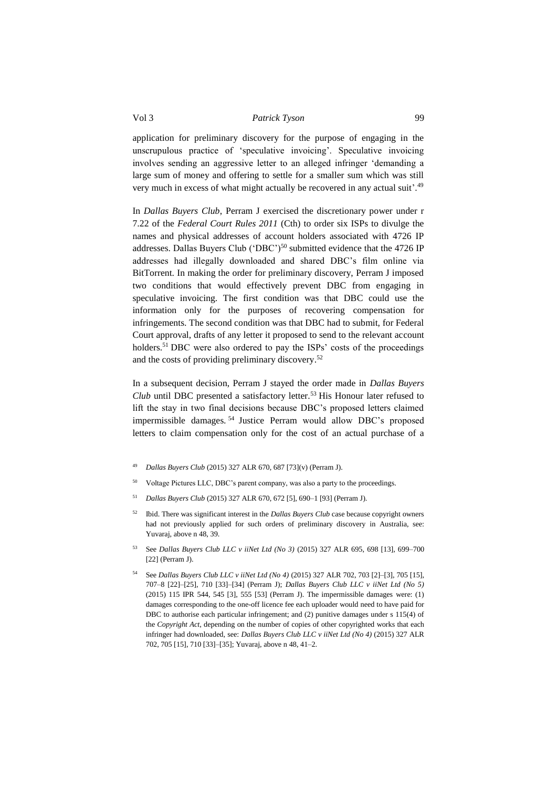application for preliminary discovery for the purpose of engaging in the unscrupulous practice of 'speculative invoicing'. Speculative invoicing involves sending an aggressive letter to an alleged infringer 'demanding a large sum of money and offering to settle for a smaller sum which was still very much in excess of what might actually be recovered in any actual suit'.<sup>49</sup>

In *Dallas Buyers Club*, Perram J exercised the discretionary power under r 7.22 of the *Federal Court Rules 2011* (Cth) to order six ISPs to divulge the names and physical addresses of account holders associated with 4726 IP addresses. Dallas Buyers Club ('DBC')<sup>50</sup> submitted evidence that the 4726 IP addresses had illegally downloaded and shared DBC's film online via BitTorrent. In making the order for preliminary discovery, Perram J imposed two conditions that would effectively prevent DBC from engaging in speculative invoicing. The first condition was that DBC could use the information only for the purposes of recovering compensation for infringements. The second condition was that DBC had to submit, for Federal Court approval, drafts of any letter it proposed to send to the relevant account holders.<sup>51</sup> DBC were also ordered to pay the ISPs' costs of the proceedings and the costs of providing preliminary discovery. 52

In a subsequent decision, Perram J stayed the order made in *Dallas Buyers Club* until DBC presented a satisfactory letter.<sup>53</sup> His Honour later refused to lift the stay in two final decisions because DBC's proposed letters claimed impermissible damages*.* <sup>54</sup> Justice Perram would allow DBC's proposed letters to claim compensation only for the cost of an actual purchase of a

- <sup>49</sup> *Dallas Buyers Club* (2015) 327 ALR 670, 687 [73](v) (Perram J).
- <sup>50</sup> Voltage Pictures LLC, DBC's parent company, was also a party to the proceedings.
- <sup>51</sup> *Dallas Buyers Club* (2015) 327 ALR 670, 672 [5], 690–1 [93] (Perram J).
- <sup>52</sup> Ibid. There was significant interest in the *Dallas Buyers Club* case because copyright owners had not previously applied for such orders of preliminary discovery in Australia, see: Yuvaraj, above n [48,](#page-11-0) 39.
- <sup>53</sup> See *Dallas Buyers Club LLC v iiNet Ltd (No 3)* (2015) 327 ALR 695, 698 [13], 699–700 [22] (Perram J).
- <sup>54</sup> See *Dallas Buyers Club LLC v iiNet Ltd (No 4)* (2015) 327 ALR 702, 703 [2]–[3], 705 [15], 707–8 [22]–[25], 710 [33]–[34] (Perram J); *Dallas Buyers Club LLC v iiNet Ltd (No 5)*  (2015) 115 IPR 544, 545 [3], 555 [53] (Perram J). The impermissible damages were: (1) damages corresponding to the one-off licence fee each uploader would need to have paid for DBC to authorise each particular infringement; and (2) punitive damages under s 115(4) of the *Copyright Act*, depending on the number of copies of other copyrighted works that each infringer had downloaded, see: *Dallas Buyers Club LLC v iiNet Ltd (No 4)* (2015) 327 ALR 702, 705 [15], 710 [33]–[35]; Yuvaraj, above [n 48,](#page-11-1) 41–2.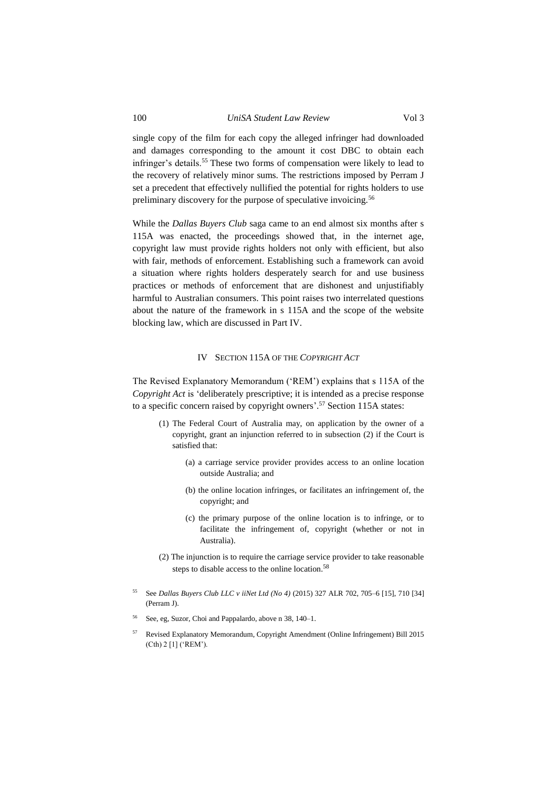# 100 *UniSA Student Law Review* Vol 3

single copy of the film for each copy the alleged infringer had downloaded and damages corresponding to the amount it cost DBC to obtain each infringer's details.<sup>55</sup> These two forms of compensation were likely to lead to the recovery of relatively minor sums. The restrictions imposed by Perram J set a precedent that effectively nullified the potential for rights holders to use preliminary discovery for the purpose of speculative invoicing.<sup>56</sup>

While the *Dallas Buyers Club* saga came to an end almost six months after s 115A was enacted, the proceedings showed that, in the internet age, copyright law must provide rights holders not only with efficient, but also with fair, methods of enforcement. Establishing such a framework can avoid a situation where rights holders desperately search for and use business practices or methods of enforcement that are dishonest and unjustifiably harmful to Australian consumers. This point raises two interrelated questions about the nature of the framework in s 115A and the scope of the website blocking law, which are discussed in Part IV.

# IV SECTION 115A OF THE *COPYRIGHT ACT*

<span id="page-13-0"></span>The Revised Explanatory Memorandum ('REM') explains that s 115A of the *Copyright Act* is 'deliberately prescriptive; it is intended as a precise response to a specific concern raised by copyright owners'. <sup>57</sup> Section 115A states:

- (1) The Federal Court of Australia may, on application by the owner of a copyright, grant an injunction referred to in subsection (2) if the Court is satisfied that:
	- (a) a carriage service provider provides access to an online location outside Australia; and
	- (b) the online location infringes, or facilitates an infringement of, the copyright; and
	- (c) the primary purpose of the online location is to infringe, or to facilitate the infringement of, copyright (whether or not in Australia).
- (2) The injunction is to require the carriage service provider to take reasonable steps to disable access to the online location.<sup>58</sup>
- <sup>55</sup> See *Dallas Buyers Club LLC v iiNet Ltd (No 4)* (2015) 327 ALR 702, 705–6 [15], 710 [34] (Perram J).
- See, eg, Suzor, Choi and Pappalardo, above n 38, 140–1.
- <sup>57</sup> Revised Explanatory Memorandum, Copyright Amendment (Online Infringement) Bill 2015 (Cth) 2 [1] ('REM').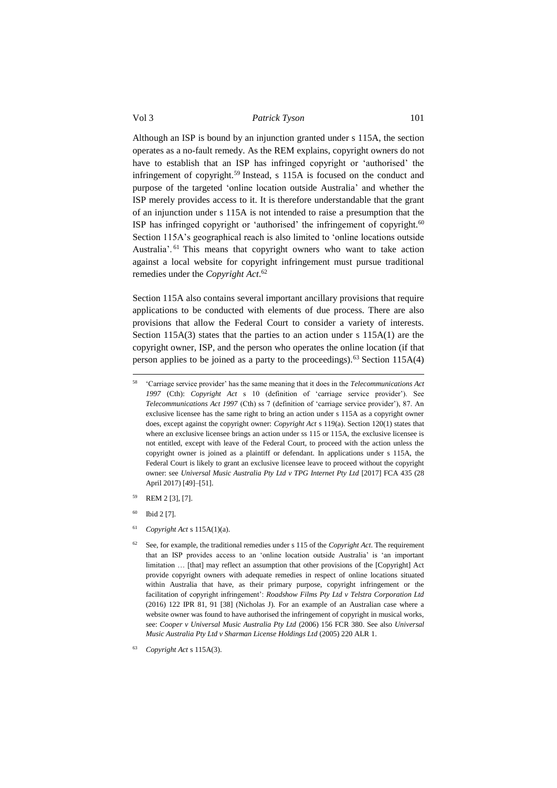Although an ISP is bound by an injunction granted under s 115A, the section operates as a no-fault remedy. As the REM explains, copyright owners do not have to establish that an ISP has infringed copyright or 'authorised' the infringement of copyright.<sup>59</sup> Instead, s 115A is focused on the conduct and purpose of the targeted 'online location outside Australia' and whether the ISP merely provides access to it. It is therefore understandable that the grant of an injunction under s 115A is not intended to raise a presumption that the ISP has infringed copyright or 'authorised' the infringement of copyright. $60$ Section 115A's geographical reach is also limited to 'online locations outside Australia'. <sup>61</sup> This means that copyright owners who want to take action against a local website for copyright infringement must pursue traditional remedies under the *Copyright Act*. 62

Section 115A also contains several important ancillary provisions that require applications to be conducted with elements of due process. There are also provisions that allow the Federal Court to consider a variety of interests. Section 115A(3) states that the parties to an action under s 115A(1) are the copyright owner, ISP, and the person who operates the online location (if that person applies to be joined as a party to the proceedings).<sup>63</sup> Section 115A(4)

- REM 2 [3], [7].
- Ibid 2 [7].

1

<sup>61</sup> *Copyright Act* s 115A(1)(a).

<sup>58</sup> 'Carriage service provider' has the same meaning that it does in the *Telecommunications Act 1997* (Cth): *Copyright Act* s 10 (definition of 'carriage service provider'). See *Telecommunications Act 1997* (Cth) ss 7 (definition of 'carriage service provider'), 87. An exclusive licensee has the same right to bring an action under s 115A as a copyright owner does, except against the copyright owner: *Copyright Act* s 119(a). Section 120(1) states that where an exclusive licensee brings an action under ss 115 or 115A, the exclusive licensee is not entitled, except with leave of the Federal Court, to proceed with the action unless the copyright owner is joined as a plaintiff or defendant. In applications under s 115A, the Federal Court is likely to grant an exclusive licensee leave to proceed without the copyright owner: see *Universal Music Australia Pty Ltd v TPG Internet Pty Ltd* [2017] FCA 435 (28 April 2017) [49]–[51].

<sup>62</sup> See, for example, the traditional remedies under s 115 of the *Copyright Act*. The requirement that an ISP provides access to an 'online location outside Australia' is 'an important limitation … [that] may reflect an assumption that other provisions of the [Copyright] Act provide copyright owners with adequate remedies in respect of online locations situated within Australia that have, as their primary purpose, copyright infringement or the facilitation of copyright infringement': *Roadshow Films Pty Ltd v Telstra Corporation Ltd* (2016) 122 IPR 81, 91 [38] (Nicholas J). For an example of an Australian case where a website owner was found to have authorised the infringement of copyright in musical works, see: *Cooper v Universal Music Australia Pty Ltd* (2006) 156 FCR 380. See also *Universal Music Australia Pty Ltd v Sharman License Holdings Ltd* (2005) 220 ALR 1.

<sup>63</sup> *Copyright Act* s 115A(3).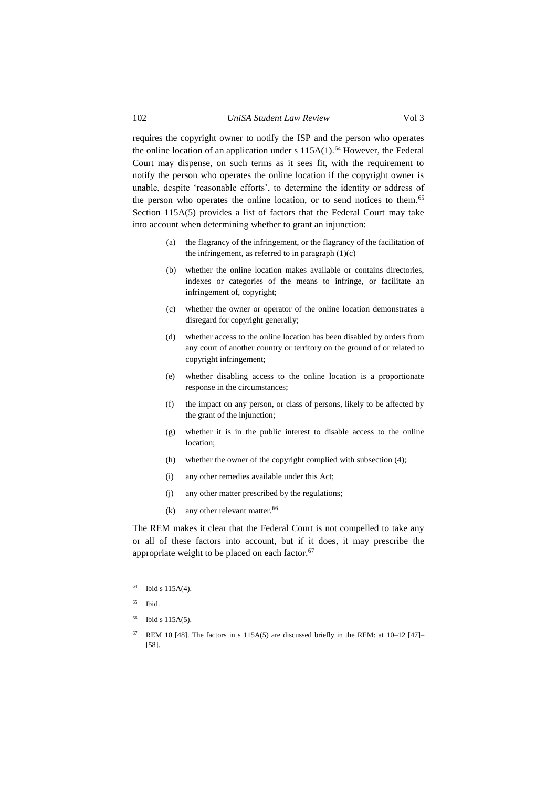requires the copyright owner to notify the ISP and the person who operates the online location of an application under s  $115A(1)$ .<sup>64</sup> However, the Federal Court may dispense, on such terms as it sees fit, with the requirement to notify the person who operates the online location if the copyright owner is unable, despite 'reasonable efforts', to determine the identity or address of the person who operates the online location, or to send notices to them.<sup>65</sup> Section 115A(5) provides a list of factors that the Federal Court may take into account when determining whether to grant an injunction:

- (a) the flagrancy of the infringement, or the flagrancy of the facilitation of the infringement, as referred to in paragraph  $(1)(c)$
- (b) whether the online location makes available or contains directories, indexes or categories of the means to infringe, or facilitate an infringement of, copyright;
- (c) whether the owner or operator of the online location demonstrates a disregard for copyright generally;
- (d) whether access to the online location has been disabled by orders from any court of another country or territory on the ground of or related to copyright infringement;
- (e) whether disabling access to the online location is a proportionate response in the circumstances;
- (f) the impact on any person, or class of persons, likely to be affected by the grant of the injunction;
- (g) whether it is in the public interest to disable access to the online location;
- (h) whether the owner of the copyright complied with subsection (4);
- (i) any other remedies available under this Act;
- (j) any other matter prescribed by the regulations;
- (k) any other relevant matter.  $66$

The REM makes it clear that the Federal Court is not compelled to take any or all of these factors into account, but if it does, it may prescribe the appropriate weight to be placed on each factor.<sup>67</sup>

- $64$  Ibid s 115A(4).
- $65$  Ibid.
- <sup>66</sup> Ibid s 115A(5).
- $67$  REM 10 [48]. The factors in s 115A(5) are discussed briefly in the REM: at 10–12 [47]– [58].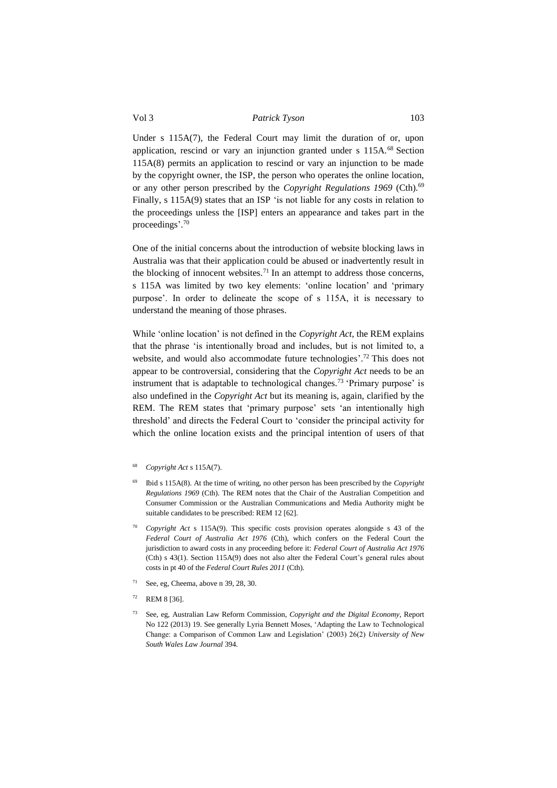Under s 115A(7), the Federal Court may limit the duration of or, upon application, rescind or vary an injunction granted under s 115A.<sup>68</sup> Section 115A(8) permits an application to rescind or vary an injunction to be made by the copyright owner, the ISP, the person who operates the online location, or any other person prescribed by the *Copyright Regulations 1969* (Cth).<sup>69</sup> Finally, s 115A(9) states that an ISP 'is not liable for any costs in relation to the proceedings unless the [ISP] enters an appearance and takes part in the proceedings'. 70

One of the initial concerns about the introduction of website blocking laws in Australia was that their application could be abused or inadvertently result in the blocking of innocent websites.<sup>71</sup> In an attempt to address those concerns, s 115A was limited by two key elements: 'online location' and 'primary purpose'. In order to delineate the scope of s 115A, it is necessary to understand the meaning of those phrases.

While 'online location' is not defined in the *Copyright Act*, the REM explains that the phrase 'is intentionally broad and includes, but is not limited to, a website, and would also accommodate future technologies'.<sup>72</sup> This does not appear to be controversial, considering that the *Copyright Act* needs to be an instrument that is adaptable to technological changes. <sup>73</sup> 'Primary purpose' is also undefined in the *Copyright Act* but its meaning is, again, clarified by the REM. The REM states that 'primary purpose' sets 'an intentionally high threshold' and directs the Federal Court to 'consider the principal activity for which the online location exists and the principal intention of users of that

- <sup>69</sup> Ibid s 115A(8). At the time of writing, no other person has been prescribed by the *Copyright Regulations 1969* (Cth). The REM notes that the Chair of the Australian Competition and Consumer Commission or the Australian Communications and Media Authority might be suitable candidates to be prescribed: REM 12 [62].
- <sup>70</sup> *Copyright Act* s 115A(9). This specific costs provision operates alongside s 43 of the *Federal Court of Australia Act 1976* (Cth), which confers on the Federal Court the jurisdiction to award costs in any proceeding before it: *Federal Court of Australia Act 1976*  (Cth) s 43(1). Section 115A(9) does not also alter the Federal Court's general rules about costs in pt 40 of the *Federal Court Rules 2011* (Cth).
- <sup>71</sup> See, eg, Cheema, above n 39, 28, 30.
- $72$  REM 8 [36].
- <sup>73</sup> See, eg, Australian Law Reform Commission, *Copyright and the Digital Economy*, Report No 122 (2013) 19. See generally Lyria Bennett Moses, 'Adapting the Law to Technological Change: a Comparison of Common Law and Legislation' (2003) 26(2) *University of New South Wales Law Journal* 394.

<sup>68</sup> *Copyright Act* s 115A(7).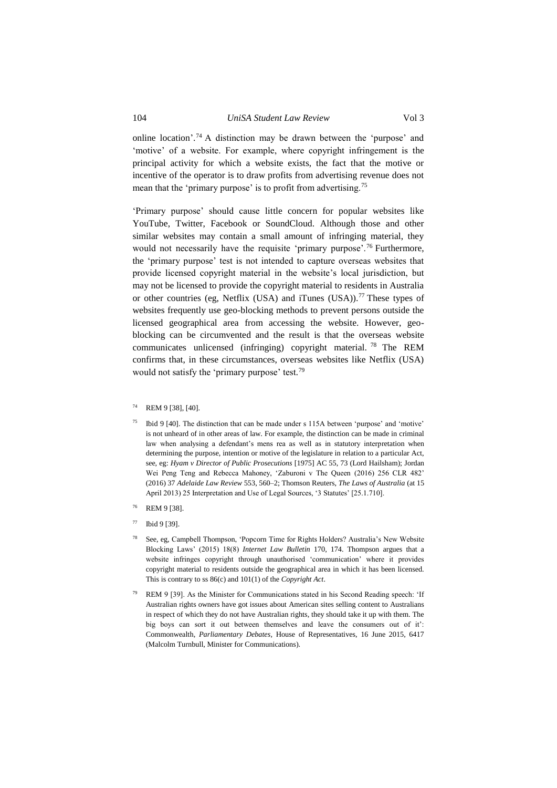# 104 *UniSA Student Law Review* Vol 3

online location'. <sup>74</sup> A distinction may be drawn between the 'purpose' and 'motive' of a website. For example, where copyright infringement is the principal activity for which a website exists, the fact that the motive or incentive of the operator is to draw profits from advertising revenue does not mean that the 'primary purpose' is to profit from advertising.<sup>75</sup>

'Primary purpose' should cause little concern for popular websites like YouTube, Twitter, Facebook or SoundCloud. Although those and other similar websites may contain a small amount of infringing material, they would not necessarily have the requisite 'primary purpose'.<sup>76</sup> Furthermore, the 'primary purpose' test is not intended to capture overseas websites that provide licensed copyright material in the website's local jurisdiction, but may not be licensed to provide the copyright material to residents in Australia or other countries (eg, Netflix (USA) and iTunes (USA)).<sup>77</sup> These types of websites frequently use geo-blocking methods to prevent persons outside the licensed geographical area from accessing the website. However, geoblocking can be circumvented and the result is that the overseas website communicates unlicensed (infringing) copyright material. <sup>78</sup> The REM confirms that, in these circumstances, overseas websites like Netflix (USA) would not satisfy the 'primary purpose' test*.* 79

- <sup>75</sup> Ibid 9 [40]. The distinction that can be made under s 115A between 'purpose' and 'motive' is not unheard of in other areas of law. For example, the distinction can be made in criminal law when analysing a defendant's mens rea as well as in statutory interpretation when determining the purpose, intention or motive of the legislature in relation to a particular Act, see, eg: *Hyam v Director of Public Prosecutions* [1975] AC 55, 73 (Lord Hailsham); Jordan Wei Peng Teng and Rebecca Mahoney, 'Zaburoni v The Queen (2016) 256 CLR 482' (2016) 37 *Adelaide Law Review* 553, 560–2; Thomson Reuters, *The Laws of Australia* (at 15 April 2013) 25 Interpretation and Use of Legal Sources, '3 Statutes' [25.1.710].
- REM 9 [38].
- $77$  Ibid 9 [39].
- See, eg, Campbell Thompson, 'Popcorn Time for Rights Holders? Australia's New Website Blocking Laws' (2015) 18(8) *Internet Law Bulletin* 170, 174. Thompson argues that a website infringes copyright through unauthorised 'communication' where it provides copyright material to residents outside the geographical area in which it has been licensed. This is contrary to ss 86(c) and 101(1) of the *Copyright Act*.
- REM 9 [39]. As the Minister for Communications stated in his Second Reading speech: 'If Australian rights owners have got issues about American sites selling content to Australians in respect of which they do not have Australian rights, they should take it up with them. The big boys can sort it out between themselves and leave the consumers out of it': Commonwealth, *Parliamentary Debates,* House of Representatives, 16 June 2015, 6417 (Malcolm Turnbull, Minister for Communications).

<sup>74</sup> REM 9 [38], [40].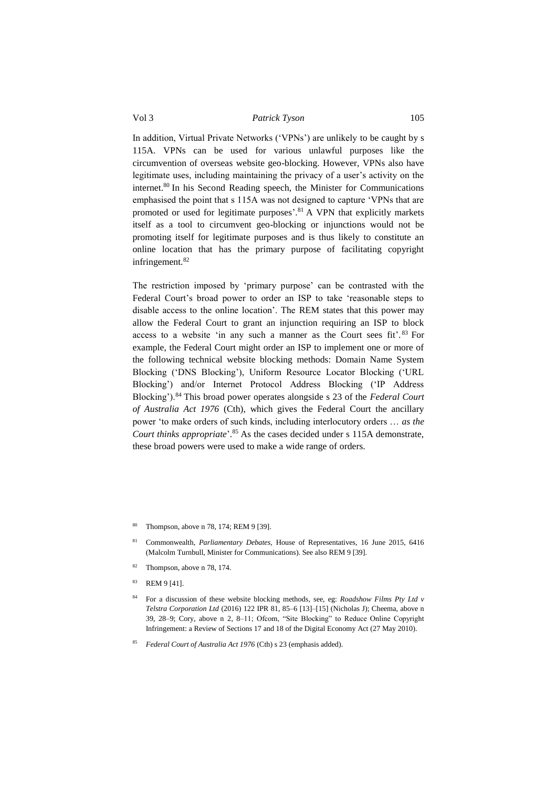In addition, Virtual Private Networks ('VPNs') are unlikely to be caught by s 115A. VPNs can be used for various unlawful purposes like the circumvention of overseas website geo-blocking. However, VPNs also have legitimate uses, including maintaining the privacy of a user's activity on the internet.<sup>80</sup> In his Second Reading speech, the Minister for Communications emphasised the point that s 115A was not designed to capture 'VPNs that are promoted or used for legitimate purposes'.<sup>81</sup> A VPN that explicitly markets itself as a tool to circumvent geo-blocking or injunctions would not be promoting itself for legitimate purposes and is thus likely to constitute an online location that has the primary purpose of facilitating copyright infringement.<sup>82</sup>

The restriction imposed by 'primary purpose' can be contrasted with the Federal Court's broad power to order an ISP to take 'reasonable steps to disable access to the online location'. The REM states that this power may allow the Federal Court to grant an injunction requiring an ISP to block access to a website 'in any such a manner as the Court sees fit'.<sup>83</sup> For example, the Federal Court might order an ISP to implement one or more of the following technical website blocking methods: Domain Name System Blocking ('DNS Blocking'), Uniform Resource Locator Blocking ('URL Blocking') and/or Internet Protocol Address Blocking ('IP Address Blocking').<sup>84</sup> This broad power operates alongside s 23 of the *Federal Court of Australia Act 1976* (Cth), which gives the Federal Court the ancillary power 'to make orders of such kinds, including interlocutory orders … *as the Court thinks appropriate*'. <sup>85</sup> As the cases decided under s 115A demonstrate, these broad powers were used to make a wide range of orders.

- Thompson, above n 78, 174; REM 9 [39].
- <sup>81</sup> Commonwealth, *Parliamentary Debates,* House of Representatives, 16 June 2015, 6416 (Malcolm Turnbull, Minister for Communications). See also REM 9 [39].
- Thompson, above n 78, 174.
- <sup>83</sup> REM 9 [41].
- <sup>84</sup> For a discussion of these website blocking methods, see, eg: *Roadshow Films Pty Ltd v Telstra Corporation Ltd* (2016) 122 IPR 81, 85–6 [13]–[15] (Nicholas J); Cheema, above n 39, 28–9; Cory, above n 2, 8–11; Ofcom, "Site Blocking" to Reduce Online Copyright Infringement: a Review of Sections 17 and 18 of the Digital Economy Act (27 May 2010).
- <sup>85</sup> *Federal Court of Australia Act 1976* (Cth) s 23 (emphasis added).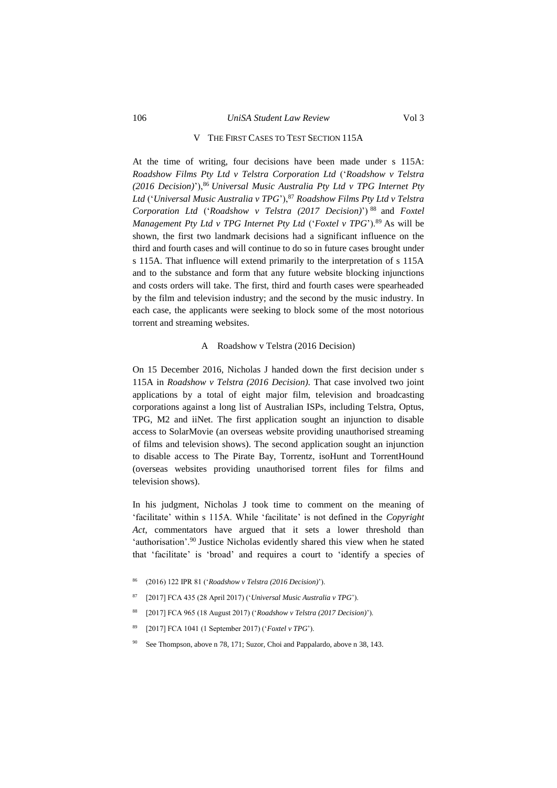### V THE FIRST CASES TO TEST SECTION 115A

<span id="page-19-0"></span>At the time of writing, four decisions have been made under s 115A: *Roadshow Films Pty Ltd v Telstra Corporation Ltd* ('*Roadshow v Telstra (2016 Decision)*'),<sup>86</sup> *Universal Music Australia Pty Ltd v TPG Internet Pty*  Ltd ('Universal Music Australia v TPG'), <sup>87</sup> Roadshow Films Pty Ltd v Telstra *Corporation Ltd* ('*Roadshow v Telstra (2017 Decision)*') <sup>88</sup> and *Foxtel Management Pty Ltd v TPG Internet Pty Ltd ('Foxtel v TPG').*<sup>89</sup> As will be shown, the first two landmark decisions had a significant influence on the third and fourth cases and will continue to do so in future cases brought under s 115A. That influence will extend primarily to the interpretation of s 115A and to the substance and form that any future website blocking injunctions and costs orders will take. The first, third and fourth cases were spearheaded by the film and television industry; and the second by the music industry. In each case, the applicants were seeking to block some of the most notorious torrent and streaming websites.

#### ARoadshow v Telstra (2016 Decision)

<span id="page-19-1"></span>On 15 December 2016, Nicholas J handed down the first decision under s 115A in *Roadshow v Telstra (2016 Decision).* That case involved two joint applications by a total of eight major film, television and broadcasting corporations against a long list of Australian ISPs, including Telstra, Optus, TPG, M2 and iiNet. The first application sought an injunction to disable access to SolarMovie (an overseas website providing unauthorised streaming of films and television shows). The second application sought an injunction to disable access to The Pirate Bay, Torrentz, isoHunt and TorrentHound (overseas websites providing unauthorised torrent files for films and television shows).

In his judgment, Nicholas J took time to comment on the meaning of 'facilitate' within s 115A. While 'facilitate' is not defined in the *Copyright Act*, commentators have argued that it sets a lower threshold than 'authorisation'.<sup>90</sup> Justice Nicholas evidently shared this view when he stated that 'facilitate' is 'broad' and requires a court to 'identify a species of

- <sup>86</sup> (2016) 122 IPR 81 ('*Roadshow v Telstra (2016 Decision)*').
- <sup>87</sup> [2017] FCA 435 (28 April 2017) ('*Universal Music Australia v TPG*').
- <sup>88</sup> [2017] FCA 965 (18 August 2017) ('*Roadshow v Telstra (2017 Decision)*').
- <sup>89</sup> [2017] FCA 1041 (1 September 2017) ('*Foxtel v TPG*').
- See Thompson, above n 78, 171; Suzor, Choi and Pappalardo, above n 38, 143.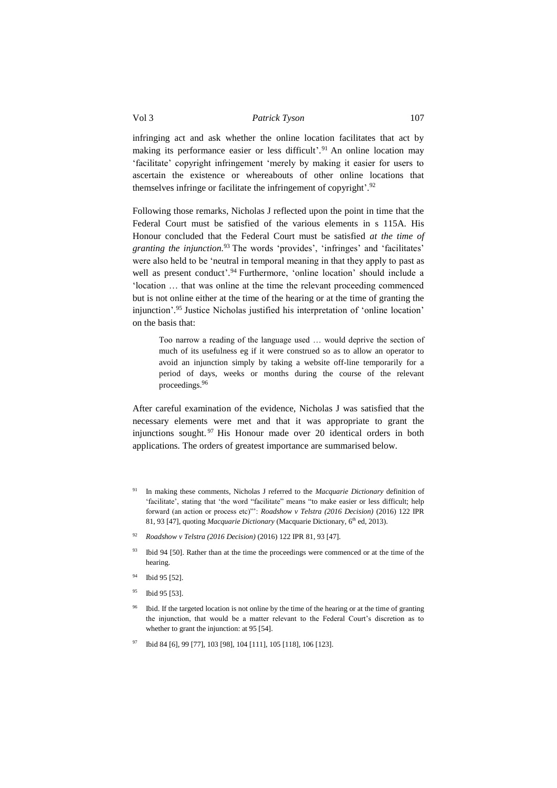infringing act and ask whether the online location facilitates that act by making its performance easier or less difficult'.<sup>91</sup> An online location may 'facilitate' copyright infringement 'merely by making it easier for users to ascertain the existence or whereabouts of other online locations that themselves infringe or facilitate the infringement of copyright'.<sup>92</sup>

Following those remarks, Nicholas J reflected upon the point in time that the Federal Court must be satisfied of the various elements in s 115A. His Honour concluded that the Federal Court must be satisfied *at the time of granting the injunction.*<sup>93</sup> The words 'provides', 'infringes' and 'facilitates' were also held to be 'neutral in temporal meaning in that they apply to past as well as present conduct'.<sup>94</sup> Furthermore, 'online location' should include a 'location … that was online at the time the relevant proceeding commenced but is not online either at the time of the hearing or at the time of granting the injunction'. <sup>95</sup> Justice Nicholas justified his interpretation of 'online location' on the basis that:

Too narrow a reading of the language used … would deprive the section of much of its usefulness eg if it were construed so as to allow an operator to avoid an injunction simply by taking a website off-line temporarily for a period of days, weeks or months during the course of the relevant proceedings.<sup>96</sup>

After careful examination of the evidence, Nicholas J was satisfied that the necessary elements were met and that it was appropriate to grant the injunctions sought. <sup>97</sup> His Honour made over 20 identical orders in both applications. The orders of greatest importance are summarised below.

- <sup>91</sup> In making these comments, Nicholas J referred to the *Macquarie Dictionary* definition of 'facilitate', stating that 'the word "facilitate" means "to make easier or less difficult; help forward (an action or process etc)"': *Roadshow v Telstra (2016 Decision)* (2016) 122 IPR 81, 93 [47], quoting *Macquarie Dictionary* (Macquarie Dictionary, 6<sup>th</sup> ed, 2013).
- <sup>92</sup> *Roadshow v Telstra (2016 Decision)* (2016) 122 IPR 81, 93 [47].
- <sup>93</sup> Ibid 94 [50]. Rather than at the time the proceedings were commenced or at the time of the hearing.
- <sup>94</sup> Ibid 95 [52].
- <sup>95</sup> Ibid 95 [53].
- <sup>96</sup> Ibid. If the targeted location is not online by the time of the hearing or at the time of granting the injunction, that would be a matter relevant to the Federal Court's discretion as to whether to grant the injunction: at 95 [54].
- <sup>97</sup> Ibid 84 [6], 99 [77], 103 [98], 104 [111], 105 [118], 106 [123].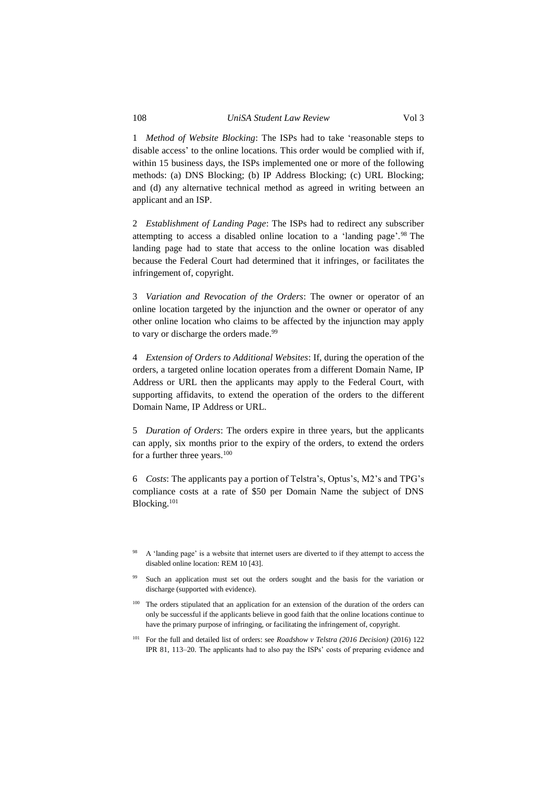1 *Method of Website Blocking*: The ISPs had to take 'reasonable steps to disable access' to the online locations. This order would be complied with if, within 15 business days, the ISPs implemented one or more of the following methods: (a) DNS Blocking; (b) IP Address Blocking; (c) URL Blocking; and (d) any alternative technical method as agreed in writing between an applicant and an ISP.

2 *Establishment of Landing Page*: The ISPs had to redirect any subscriber attempting to access a disabled online location to a 'landing page'. <sup>98</sup> The landing page had to state that access to the online location was disabled because the Federal Court had determined that it infringes, or facilitates the infringement of, copyright.

3 *Variation and Revocation of the Orders*: The owner or operator of an online location targeted by the injunction and the owner or operator of any other online location who claims to be affected by the injunction may apply to vary or discharge the orders made.<sup>99</sup>

4 *Extension of Orders to Additional Websites*: If, during the operation of the orders, a targeted online location operates from a different Domain Name, IP Address or URL then the applicants may apply to the Federal Court, with supporting affidavits, to extend the operation of the orders to the different Domain Name, IP Address or URL.

5 *Duration of Orders*: The orders expire in three years, but the applicants can apply, six months prior to the expiry of the orders, to extend the orders for a further three years.<sup>100</sup>

6 *Costs*: The applicants pay a portion of Telstra's, Optus's, M2's and TPG's compliance costs at a rate of \$50 per Domain Name the subject of DNS Blocking.<sup>101</sup>

A 'landing page' is a website that internet users are diverted to if they attempt to access the disabled online location: REM 10 [43].

Such an application must set out the orders sought and the basis for the variation or discharge (supported with evidence).

<sup>&</sup>lt;sup>100</sup> The orders stipulated that an application for an extension of the duration of the orders can only be successful if the applicants believe in good faith that the online locations continue to have the primary purpose of infringing, or facilitating the infringement of, copyright.

<sup>101</sup> For the full and detailed list of orders: see *Roadshow v Telstra (2016 Decision)* (2016) 122 IPR 81, 113–20. The applicants had to also pay the ISPs' costs of preparing evidence and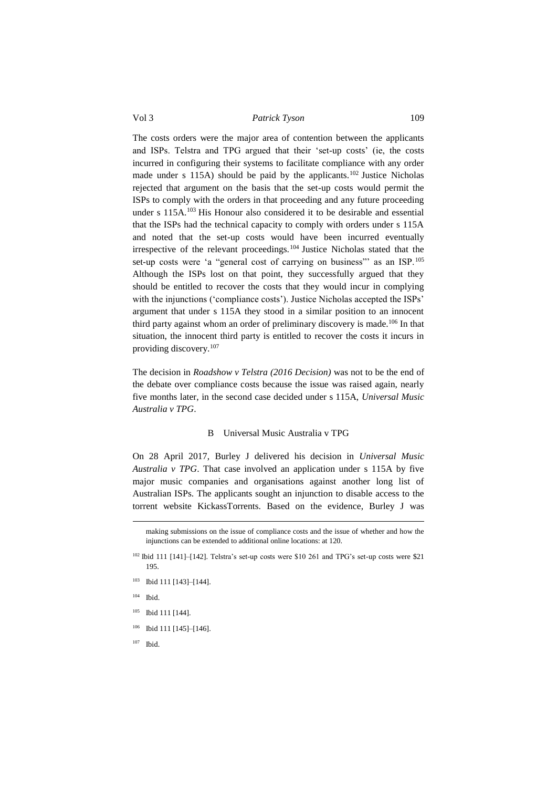The costs orders were the major area of contention between the applicants and ISPs. Telstra and TPG argued that their 'set-up costs' (ie, the costs incurred in configuring their systems to facilitate compliance with any order made under s 115A) should be paid by the applicants.<sup>102</sup> Justice Nicholas rejected that argument on the basis that the set-up costs would permit the ISPs to comply with the orders in that proceeding and any future proceeding under s 115A.<sup>103</sup> His Honour also considered it to be desirable and essential that the ISPs had the technical capacity to comply with orders under s 115A and noted that the set-up costs would have been incurred eventually irrespective of the relevant proceedings.<sup>104</sup> Justice Nicholas stated that the set-up costs were 'a "general cost of carrying on business" as an ISP.<sup>105</sup> Although the ISPs lost on that point, they successfully argued that they should be entitled to recover the costs that they would incur in complying with the injunctions ('compliance costs'). Justice Nicholas accepted the ISPs' argument that under s 115A they stood in a similar position to an innocent third party against whom an order of preliminary discovery is made.<sup>106</sup> In that situation, the innocent third party is entitled to recover the costs it incurs in providing discovery.<sup>107</sup>

The decision in *Roadshow v Telstra (2016 Decision)* was not to be the end of the debate over compliance costs because the issue was raised again, nearly five months later, in the second case decided under s 115A, *Universal Music Australia v TPG*.

#### BUniversal Music Australia v TPG

<span id="page-22-0"></span>On 28 April 2017, Burley J delivered his decision in *Universal Music Australia v TPG*. That case involved an application under s 115A by five major music companies and organisations against another long list of Australian ISPs. The applicants sought an injunction to disable access to the torrent website KickassTorrents. Based on the evidence, Burley J was

 $104$  Ibid.

<u>.</u>

- <sup>105</sup> Ibid 111 [144].
- $106$  Ibid 111 [145]-[146].
- <sup>107</sup> Ibid.

making submissions on the issue of compliance costs and the issue of whether and how the injunctions can be extended to additional online locations: at 120.

<sup>&</sup>lt;sup>102</sup> Ibid 111 [141]–[142]. Telstra's set-up costs were \$10 261 and TPG's set-up costs were \$21 195.

<sup>103</sup> Ibid 111 [143]–[144].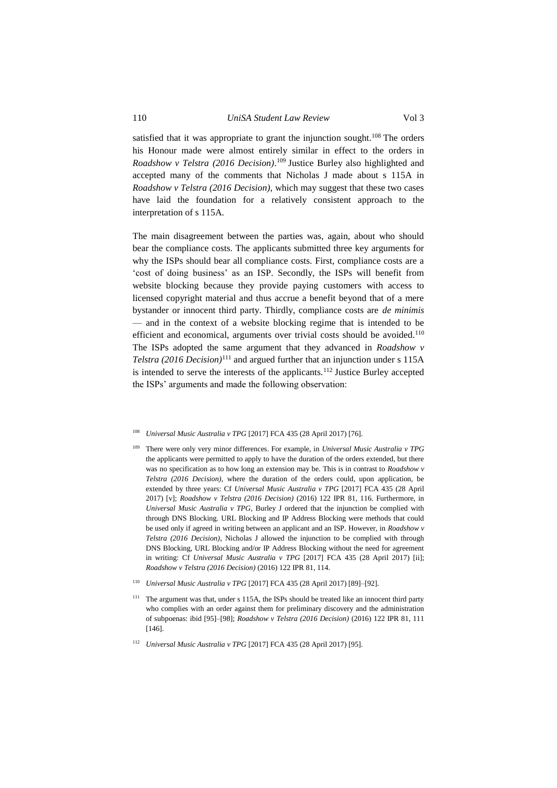# 110 *UniSA Student Law Review* Vol 3

satisfied that it was appropriate to grant the injunction sought.<sup>108</sup> The orders his Honour made were almost entirely similar in effect to the orders in *Roadshow v Telstra (2016 Decision)*. <sup>109</sup> Justice Burley also highlighted and accepted many of the comments that Nicholas J made about s 115A in *Roadshow v Telstra (2016 Decision)*, which may suggest that these two cases have laid the foundation for a relatively consistent approach to the interpretation of s 115A.

The main disagreement between the parties was, again, about who should bear the compliance costs. The applicants submitted three key arguments for why the ISPs should bear all compliance costs. First, compliance costs are a 'cost of doing business' as an ISP. Secondly, the ISPs will benefit from website blocking because they provide paying customers with access to licensed copyright material and thus accrue a benefit beyond that of a mere bystander or innocent third party. Thirdly, compliance costs are *de minimis*  — and in the context of a website blocking regime that is intended to be efficient and economical, arguments over trivial costs should be avoided.<sup>110</sup> The ISPs adopted the same argument that they advanced in *Roadshow v Telstra (2016 Decision)*<sup>111</sup> and argued further that an injunction under s 115A is intended to serve the interests of the applicants.<sup>112</sup> Justice Burley accepted the ISPs' arguments and made the following observation:

- <sup>109</sup> There were only very minor differences. For example, in *Universal Music Australia v TPG* the applicants were permitted to apply to have the duration of the orders extended, but there was no specification as to how long an extension may be. This is in contrast to *Roadshow v Telstra (2016 Decision)*, where the duration of the orders could, upon application, be extended by three years: Cf *Universal Music Australia v TPG* [2017] FCA 435 (28 April 2017) [v]; *Roadshow v Telstra (2016 Decision)* (2016) 122 IPR 81, 116. Furthermore, in *Universal Music Australia v TPG*, Burley J ordered that the injunction be complied with through DNS Blocking. URL Blocking and IP Address Blocking were methods that could be used only if agreed in writing between an applicant and an ISP. However, in *Roadshow v Telstra (2016 Decision)*, Nicholas J allowed the injunction to be complied with through DNS Blocking, URL Blocking and/or IP Address Blocking without the need for agreement in writing: Cf *Universal Music Australia v TPG* [2017] FCA 435 (28 April 2017) [ii]; *Roadshow v Telstra (2016 Decision)* (2016) 122 IPR 81, 114.
- <sup>110</sup> *Universal Music Australia v TPG* [2017] FCA 435 (28 April 2017) [89]–[92].
- <sup>111</sup> The argument was that, under s 115A, the ISPs should be treated like an innocent third party who complies with an order against them for preliminary discovery and the administration of subpoenas: ibid [95]–[98]; *Roadshow v Telstra (2016 Decision)* (2016) 122 IPR 81, 111 [146].
- <sup>112</sup> *Universal Music Australia v TPG* [2017] FCA 435 (28 April 2017) [95].

<sup>108</sup> *Universal Music Australia v TPG* [2017] FCA 435 (28 April 2017) [76].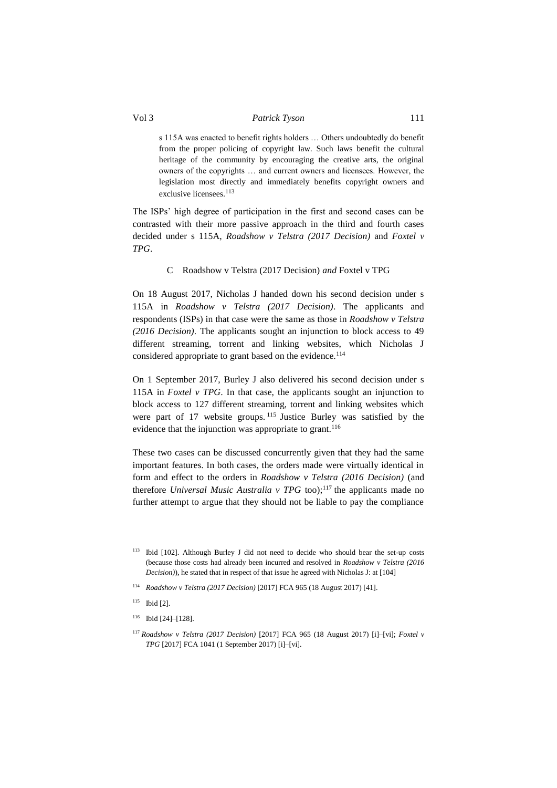s 115A was enacted to benefit rights holders … Others undoubtedly do benefit from the proper policing of copyright law. Such laws benefit the cultural heritage of the community by encouraging the creative arts, the original owners of the copyrights … and current owners and licensees. However, the legislation most directly and immediately benefits copyright owners and exclusive licensees.<sup>113</sup>

The ISPs' high degree of participation in the first and second cases can be contrasted with their more passive approach in the third and fourth cases decided under s 115A, *Roadshow v Telstra (2017 Decision)* and *Foxtel v TPG*.

# C Roadshow v Telstra (2017 Decision) *and* Foxtel v TPG

<span id="page-24-0"></span>On 18 August 2017, Nicholas J handed down his second decision under s 115A in *Roadshow v Telstra (2017 Decision)*. The applicants and respondents (ISPs) in that case were the same as those in *Roadshow v Telstra (2016 Decision)*. The applicants sought an injunction to block access to 49 different streaming, torrent and linking websites, which Nicholas J considered appropriate to grant based on the evidence.<sup>114</sup>

On 1 September 2017, Burley J also delivered his second decision under s 115A in *Foxtel v TPG*. In that case, the applicants sought an injunction to block access to 127 different streaming, torrent and linking websites which were part of 17 website groups. <sup>115</sup> Justice Burley was satisfied by the evidence that the injunction was appropriate to grant.<sup>116</sup>

These two cases can be discussed concurrently given that they had the same important features. In both cases, the orders made were virtually identical in form and effect to the orders in *Roadshow v Telstra (2016 Decision)* (and therefore *Universal Music Australia v TPG* too);<sup>117</sup> the applicants made no further attempt to argue that they should not be liable to pay the compliance

- $115$  Ibid [2].
- $116$  Ibid [24]–[128].

<sup>113</sup> Ibid [102]. Although Burley J did not need to decide who should bear the set-up costs (because those costs had already been incurred and resolved in *Roadshow v Telstra (2016 Decision)*), he stated that in respect of that issue he agreed with Nicholas J: at [104]

<sup>114</sup> *Roadshow v Telstra (2017 Decision)* [2017] FCA 965 (18 August 2017) [41].

<sup>117</sup> *Roadshow v Telstra (2017 Decision)* [2017] FCA 965 (18 August 2017) [i]–[vi]; *Foxtel v TPG* [2017] FCA 1041 (1 September 2017) [i]–[vi].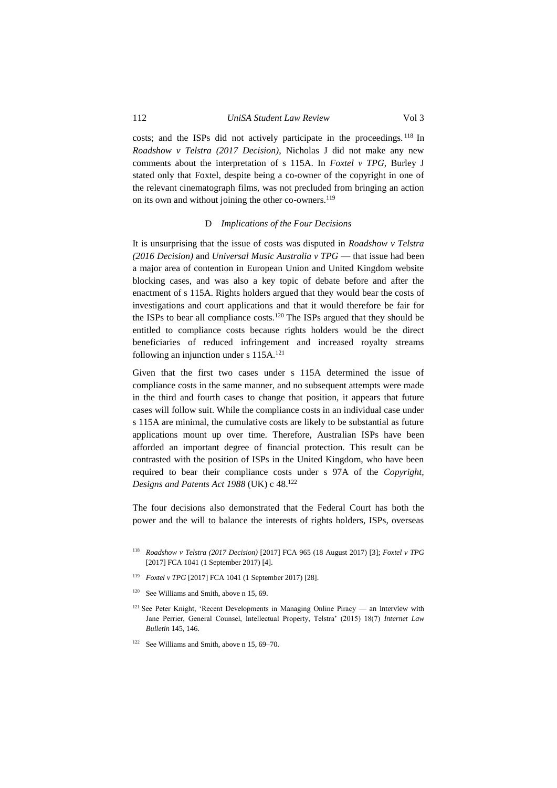costs; and the ISPs did not actively participate in the proceedings. <sup>118</sup> In *Roadshow v Telstra (2017 Decision)*, Nicholas J did not make any new

comments about the interpretation of s 115A. In *Foxtel v TPG*, Burley J stated only that Foxtel, despite being a co-owner of the copyright in one of the relevant cinematograph films, was not precluded from bringing an action on its own and without joining the other co-owners.<sup>119</sup>

#### D *Implications of the Four Decisions*

<span id="page-25-0"></span>It is unsurprising that the issue of costs was disputed in *Roadshow v Telstra (2016 Decision)* and *Universal Music Australia v TPG* — that issue had been a major area of contention in European Union and United Kingdom website blocking cases, and was also a key topic of debate before and after the enactment of s 115A. Rights holders argued that they would bear the costs of investigations and court applications and that it would therefore be fair for the ISPs to bear all compliance costs.<sup>120</sup> The ISPs argued that they should be entitled to compliance costs because rights holders would be the direct beneficiaries of reduced infringement and increased royalty streams following an injunction under s 115A.<sup>121</sup>

Given that the first two cases under s 115A determined the issue of compliance costs in the same manner, and no subsequent attempts were made in the third and fourth cases to change that position, it appears that future cases will follow suit. While the compliance costs in an individual case under s 115A are minimal, the cumulative costs are likely to be substantial as future applications mount up over time. Therefore, Australian ISPs have been afforded an important degree of financial protection. This result can be contrasted with the position of ISPs in the United Kingdom, who have been required to bear their compliance costs under s 97A of the *Copyright, Designs and Patents Act 1988* (UK) c 48.<sup>122</sup>

The four decisions also demonstrated that the Federal Court has both the power and the will to balance the interests of rights holders, ISPs, overseas

- <sup>119</sup> *Foxtel v TPG* [2017] FCA 1041 (1 September 2017) [28].
- <sup>120</sup> See Williams and Smith, above n 15, 69.
- <sup>121</sup> See Peter Knight, 'Recent Developments in Managing Online Piracy an Interview with Jane Perrier, General Counsel, Intellectual Property, Telstra' (2015) 18(7) *Internet Law Bulletin* 145, 146.
- <sup>122</sup> See Williams and Smith, above n 15, 69–70.

<sup>118</sup> *Roadshow v Telstra (2017 Decision)* [2017] FCA 965 (18 August 2017) [3]; *Foxtel v TPG*  [2017] FCA 1041 (1 September 2017) [4].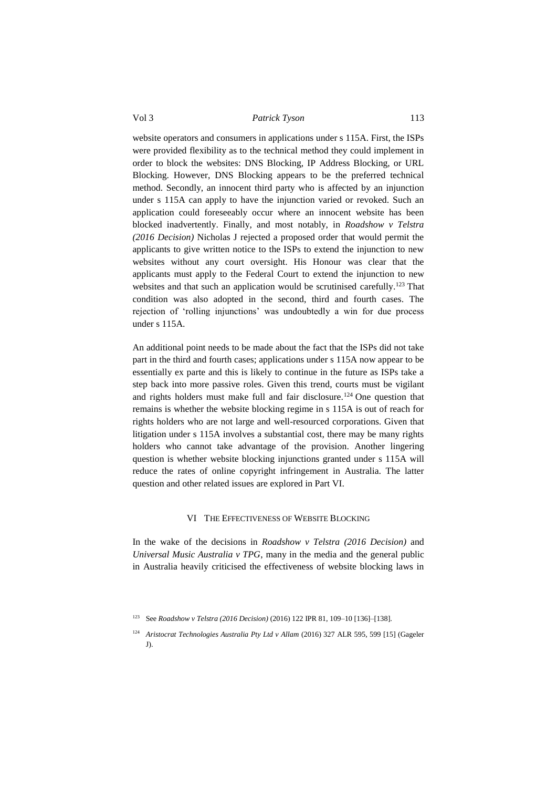website operators and consumers in applications under s 115A. First, the ISPs were provided flexibility as to the technical method they could implement in order to block the websites: DNS Blocking, IP Address Blocking, or URL Blocking. However, DNS Blocking appears to be the preferred technical method. Secondly, an innocent third party who is affected by an injunction under s 115A can apply to have the injunction varied or revoked. Such an application could foreseeably occur where an innocent website has been blocked inadvertently. Finally, and most notably, in *Roadshow v Telstra (2016 Decision)* Nicholas J rejected a proposed order that would permit the applicants to give written notice to the ISPs to extend the injunction to new websites without any court oversight. His Honour was clear that the applicants must apply to the Federal Court to extend the injunction to new websites and that such an application would be scrutinised carefully.<sup>123</sup> That condition was also adopted in the second, third and fourth cases. The rejection of 'rolling injunctions' was undoubtedly a win for due process under s 115A.

An additional point needs to be made about the fact that the ISPs did not take part in the third and fourth cases; applications under s 115A now appear to be essentially ex parte and this is likely to continue in the future as ISPs take a step back into more passive roles. Given this trend, courts must be vigilant and rights holders must make full and fair disclosure.<sup>124</sup> One question that remains is whether the website blocking regime in s 115A is out of reach for rights holders who are not large and well-resourced corporations. Given that litigation under s 115A involves a substantial cost, there may be many rights holders who cannot take advantage of the provision. Another lingering question is whether website blocking injunctions granted under s 115A will reduce the rates of online copyright infringement in Australia. The latter question and other related issues are explored in Part VI.

# VI THE EFFECTIVENESS OF WEBSITE BLOCKING

<span id="page-26-0"></span>In the wake of the decisions in *Roadshow v Telstra (2016 Decision)* and *Universal Music Australia v TPG*, many in the media and the general public in Australia heavily criticised the effectiveness of website blocking laws in

<sup>123</sup> See *Roadshow v Telstra (2016 Decision)* (2016) 122 IPR 81, 109–10 [136]–[138].

<sup>124</sup> *Aristocrat Technologies Australia Pty Ltd v Allam* (2016) 327 ALR 595, 599 [15] (Gageler J).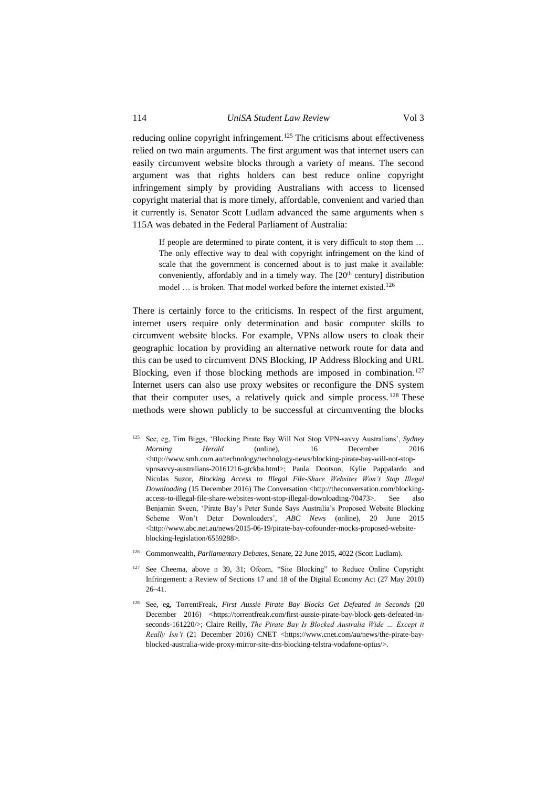reducing online copyright infringement.<sup>125</sup> The criticisms about effectiveness relied on two main arguments. The first argument was that internet users can easily circumvent website blocks through a variety of means. The second argument was that rights holders can best reduce online copyright infringement simply by providing Australians with access to licensed copyright material that is more timely, affordable, convenient and varied than it currently is. Senator Scott Ludlam advanced the same arguments when s

115A was debated in the Federal Parliament of Australia:

If people are determined to pirate content, it is very difficult to stop them … The only effective way to deal with copyright infringement on the kind of scale that the government is concerned about is to just make it available: conveniently, affordably and in a timely way. The  $[20<sup>th</sup>$  century] distribution model ... is broken. That model worked before the internet existed.<sup>126</sup>

There is certainly force to the criticisms. In respect of the first argument, internet users require only determination and basic computer skills to circumvent website blocks. For example, VPNs allow users to cloak their geographic location by providing an alternative network route for data and this can be used to circumvent DNS Blocking, IP Address Blocking and URL Blocking, even if those blocking methods are imposed in combination.<sup>127</sup> Internet users can also use proxy websites or reconfigure the DNS system that their computer uses, a relatively quick and simple process.  $128$  These methods were shown publicly to be successful at circumventing the blocks

- <sup>125</sup> See, eg, Tim Biggs, 'Blocking Pirate Bay Will Not Stop VPN-savvy Australians', *Sydney Morning Herald* (online), 16 December 2016 <http://www.smh.com.au/technology/technology-news/blocking-pirate-bay-will-not-stopvpnsavvy-australians-20161216-gtckba.html>; Paula Dootson, Kylie Pappalardo and Nicolas Suzor, *Blocking Access to Illegal File-Share Websites Won't Stop Illegal Downloading* (15 December 2016) The Conversation <http://theconversation.com/blockingaccess-to-illegal-file-share-websites-wont-stop-illegal-downloading-70473>. See also Benjamin Sveen, 'Pirate Bay's Peter Sunde Says Australia's Proposed Website Blocking Scheme Won't Deter Downloaders', *ABC News* (online), 20 June 2015 <http://www.abc.net.au/news/2015-06-19/pirate-bay-cofounder-mocks-proposed-websiteblocking-legislation/6559288>.
- <sup>126</sup> Commonwealth, *Parliamentary Debates*, Senate, 22 June 2015, 4022 (Scott Ludlam).
- <sup>127</sup> See Cheema, above n 39, 31; Ofcom, "Site Blocking" to Reduce Online Copyright Infringement: a Review of Sections 17 and 18 of the Digital Economy Act (27 May 2010) 26–41.
- <sup>128</sup> See, eg, TorrentFreak, *First Aussie Pirate Bay Blocks Get Defeated in Seconds* (20 December 2016) <https://torrentfreak.com/first-aussie-pirate-bay-block-gets-defeated-inseconds-161220/>; Claire Reilly, *The Pirate Bay Is Blocked Australia Wide … Except it Really Isn't* (21 December 2016) CNET <https://www.cnet.com/au/news/the-pirate-bayblocked-australia-wide-proxy-mirror-site-dns-blocking-telstra-vodafone-optus/>.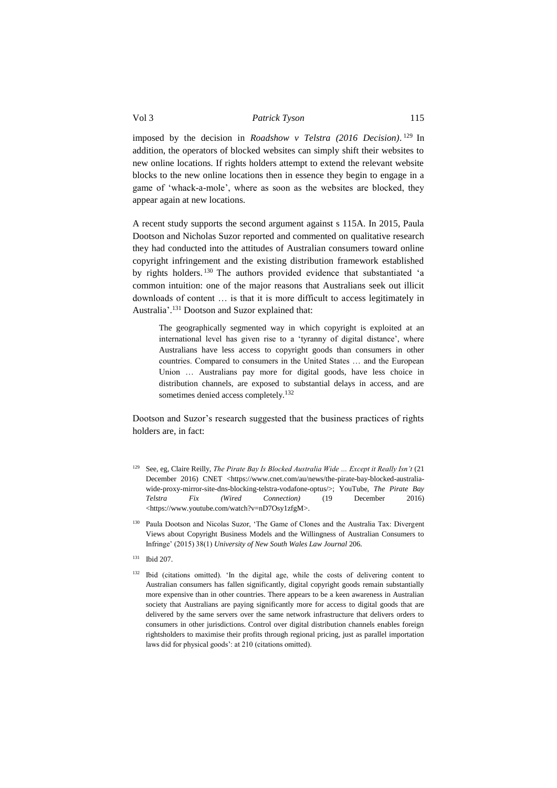imposed by the decision in *Roadshow v Telstra (2016 Decision)*. <sup>129</sup> In addition, the operators of blocked websites can simply shift their websites to new online locations. If rights holders attempt to extend the relevant website blocks to the new online locations then in essence they begin to engage in a game of 'whack-a-mole', where as soon as the websites are blocked, they appear again at new locations.

A recent study supports the second argument against s 115A. In 2015, Paula Dootson and Nicholas Suzor reported and commented on qualitative research they had conducted into the attitudes of Australian consumers toward online copyright infringement and the existing distribution framework established by rights holders. <sup>130</sup> The authors provided evidence that substantiated 'a common intuition: one of the major reasons that Australians seek out illicit downloads of content … is that it is more difficult to access legitimately in Australia'. <sup>131</sup> Dootson and Suzor explained that:

The geographically segmented way in which copyright is exploited at an international level has given rise to a 'tyranny of digital distance', where Australians have less access to copyright goods than consumers in other countries. Compared to consumers in the United States … and the European Union … Australians pay more for digital goods, have less choice in distribution channels, are exposed to substantial delays in access, and are sometimes denied access completely.<sup>132</sup>

Dootson and Suzor's research suggested that the business practices of rights holders are, in fact:

- <sup>129</sup> See, eg, Claire Reilly, *The Pirate Bay Is Blocked Australia Wide … Except it Really Isn't* (21 December 2016) CNET <https://www.cnet.com/au/news/the-pirate-bay-blocked-australiawide-proxy-mirror-site-dns-blocking-telstra-vodafone-optus/>; YouTube, *The Pirate Bay Telstra Fix (Wired Connection)* (19 December 2016) <https://www.youtube.com/watch?v=nD7Osy1zfgM>.
- Paula Dootson and Nicolas Suzor, 'The Game of Clones and the Australia Tax: Divergent Views about Copyright Business Models and the Willingness of Australian Consumers to Infringe' (2015) 38(1) *University of New South Wales Law Journal* 206.
- <sup>131</sup> Ibid 207.
- <sup>132</sup> Ibid (citations omitted). 'In the digital age, while the costs of delivering content to Australian consumers has fallen significantly, digital copyright goods remain substantially more expensive than in other countries. There appears to be a keen awareness in Australian society that Australians are paying significantly more for access to digital goods that are delivered by the same servers over the same network infrastructure that delivers orders to consumers in other jurisdictions. Control over digital distribution channels enables foreign rightsholders to maximise their profits through regional pricing, just as parallel importation laws did for physical goods': at 210 (citations omitted).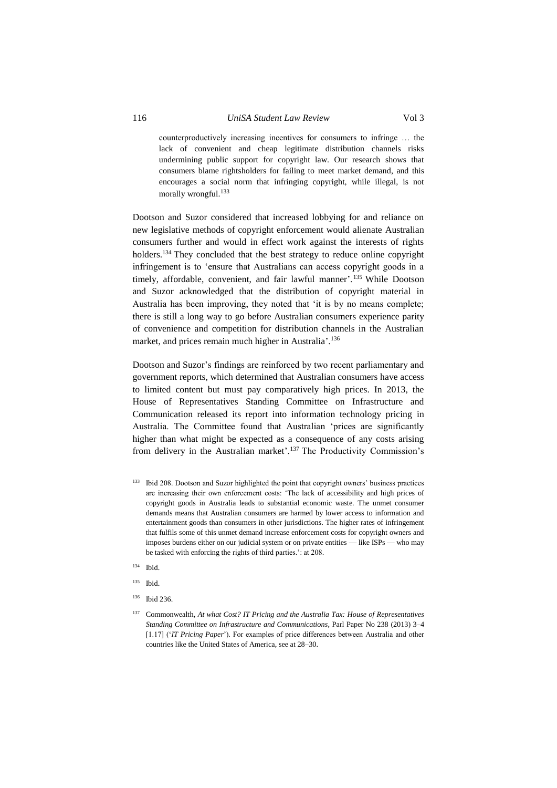# 116 *UniSA Student Law Review* Vol 3

counterproductively increasing incentives for consumers to infringe … the lack of convenient and cheap legitimate distribution channels risks undermining public support for copyright law. Our research shows that consumers blame rightsholders for failing to meet market demand, and this encourages a social norm that infringing copyright, while illegal, is not morally wrongful.<sup>133</sup>

Dootson and Suzor considered that increased lobbying for and reliance on new legislative methods of copyright enforcement would alienate Australian consumers further and would in effect work against the interests of rights holders.<sup>134</sup> They concluded that the best strategy to reduce online copyright infringement is to 'ensure that Australians can access copyright goods in a timely, affordable, convenient, and fair lawful manner'.<sup>135</sup> While Dootson and Suzor acknowledged that the distribution of copyright material in Australia has been improving, they noted that 'it is by no means complete; there is still a long way to go before Australian consumers experience parity of convenience and competition for distribution channels in the Australian market, and prices remain much higher in Australia'. 136

Dootson and Suzor's findings are reinforced by two recent parliamentary and government reports, which determined that Australian consumers have access to limited content but must pay comparatively high prices. In 2013, the House of Representatives Standing Committee on Infrastructure and Communication released its report into information technology pricing in Australia. The Committee found that Australian 'prices are significantly higher than what might be expected as a consequence of any costs arising from delivery in the Australian market'. <sup>137</sup> The Productivity Commission's

- 133 Ibid 208. Dootson and Suzor highlighted the point that copyright owners' business practices are increasing their own enforcement costs: 'The lack of accessibility and high prices of copyright goods in Australia leads to substantial economic waste. The unmet consumer demands means that Australian consumers are harmed by lower access to information and entertainment goods than consumers in other jurisdictions. The higher rates of infringement that fulfils some of this unmet demand increase enforcement costs for copyright owners and imposes burdens either on our judicial system or on private entities — like ISPs — who may be tasked with enforcing the rights of third parties.': at 208.
- <sup>134</sup> Ibid.
- <sup>135</sup> Ibid.
- <sup>136</sup> Ibid 236.
- <sup>137</sup> Commonwealth, *At what Cost? IT Pricing and the Australia Tax: House of Representatives Standing Committee on Infrastructure and Communications*, Parl Paper No 238 (2013) 3–4 [1.17] ('*IT Pricing Paper*'). For examples of price differences between Australia and other countries like the United States of America, see at 28–30.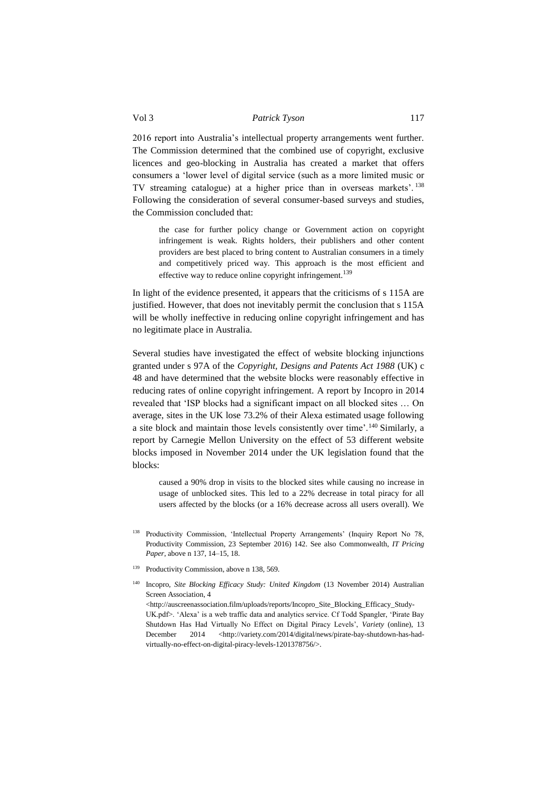2016 report into Australia's intellectual property arrangements went further. The Commission determined that the combined use of copyright, exclusive licences and geo-blocking in Australia has created a market that offers consumers a 'lower level of digital service (such as a more limited music or TV streaming catalogue) at a higher price than in overseas markets'. <sup>138</sup> Following the consideration of several consumer-based surveys and studies, the Commission concluded that:

the case for further policy change or Government action on copyright infringement is weak. Rights holders, their publishers and other content providers are best placed to bring content to Australian consumers in a timely and competitively priced way. This approach is the most efficient and effective way to reduce online copyright infringement.<sup>139</sup>

In light of the evidence presented, it appears that the criticisms of s 115A are justified. However, that does not inevitably permit the conclusion that s 115A will be wholly ineffective in reducing online copyright infringement and has no legitimate place in Australia.

Several studies have investigated the effect of website blocking injunctions granted under s 97A of the *Copyright, Designs and Patents Act 1988* (UK) c 48 and have determined that the website blocks were reasonably effective in reducing rates of online copyright infringement. A report by Incopro in 2014 revealed that 'ISP blocks had a significant impact on all blocked sites … On average, sites in the UK lose 73.2% of their Alexa estimated usage following a site block and maintain those levels consistently over time'.<sup>140</sup> Similarly, a report by Carnegie Mellon University on the effect of 53 different website blocks imposed in November 2014 under the UK legislation found that the blocks:

caused a 90% drop in visits to the blocked sites while causing no increase in usage of unblocked sites. This led to a 22% decrease in total piracy for all users affected by the blocks (or a 16% decrease across all users overall). We

- <sup>138</sup> Productivity Commission, 'Intellectual Property Arrangements' (Inquiry Report No 78, Productivity Commission, 23 September 2016) 142. See also Commonwealth, *IT Pricing Paper*, above n 137, 14–15, 18.
- <sup>139</sup> Productivity Commission, above n 138, 569.
- <sup>140</sup> Incopro, *Site Blocking Efficacy Study: United Kingdom* (13 November 2014) Australian Screen Association, 4

<http://auscreenassociation.film/uploads/reports/Incopro\_Site\_Blocking\_Efficacy\_Study-UK.pdf>. 'Alexa' is a web traffic data and analytics service. Cf Todd Spangler, 'Pirate Bay Shutdown Has Had Virtually No Effect on Digital Piracy Levels', *Variety* (online), 13 December 2014 <http://variety.com/2014/digital/news/pirate-bay-shutdown-has-hadvirtually-no-effect-on-digital-piracy-levels-1201378756/>.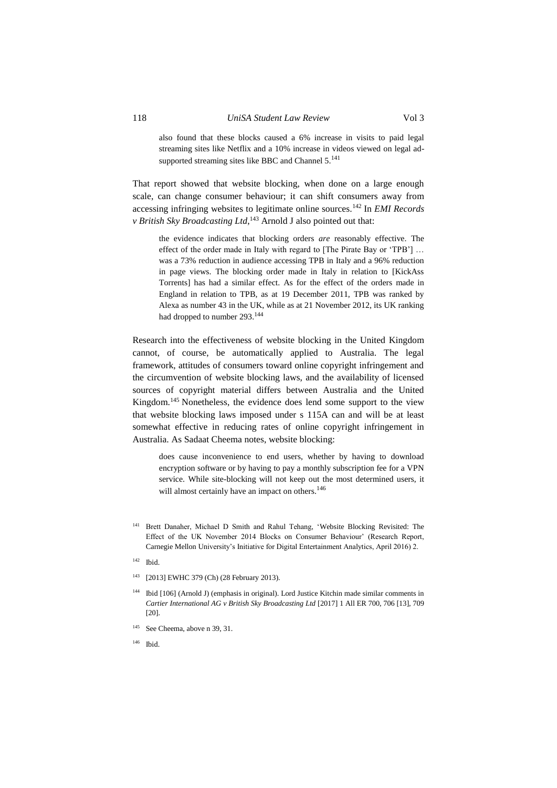also found that these blocks caused a 6% increase in visits to paid legal streaming sites like Netflix and a 10% increase in videos viewed on legal adsupported streaming sites like BBC and Channel  $5.^{141}$ 

That report showed that website blocking, when done on a large enough scale, can change consumer behaviour; it can shift consumers away from accessing infringing websites to legitimate online sources.<sup>142</sup> In *EMI Records v British Sky Broadcasting Ltd*,<sup>143</sup> Arnold J also pointed out that:

the evidence indicates that blocking orders *are* reasonably effective. The effect of the order made in Italy with regard to [The Pirate Bay or 'TPB'] … was a 73% reduction in audience accessing TPB in Italy and a 96% reduction in page views. The blocking order made in Italy in relation to [KickAss Torrents] has had a similar effect. As for the effect of the orders made in England in relation to TPB, as at 19 December 2011, TPB was ranked by Alexa as number 43 in the UK, while as at 21 November 2012, its UK ranking had dropped to number 293.<sup>144</sup>

Research into the effectiveness of website blocking in the United Kingdom cannot, of course, be automatically applied to Australia. The legal framework, attitudes of consumers toward online copyright infringement and the circumvention of website blocking laws, and the availability of licensed sources of copyright material differs between Australia and the United Kingdom.<sup>145</sup> Nonetheless, the evidence does lend some support to the view that website blocking laws imposed under s 115A can and will be at least somewhat effective in reducing rates of online copyright infringement in Australia. As Sadaat Cheema notes, website blocking:

does cause inconvenience to end users, whether by having to download encryption software or by having to pay a monthly subscription fee for a VPN service. While site-blocking will not keep out the most determined users, it will almost certainly have an impact on others.<sup>146</sup>

- <sup>141</sup> Brett Danaher, Michael D Smith and Rahul Tehang, 'Website Blocking Revisited: The Effect of the UK November 2014 Blocks on Consumer Behaviour' (Research Report, Carnegie Mellon University's Initiative for Digital Entertainment Analytics, April 2016) 2.
- <sup>142</sup> Ibid.
- <sup>143</sup> [2013] EWHC 379 (Ch) (28 February 2013).
- <sup>144</sup> Ibid [106] (Arnold J) (emphasis in original). Lord Justice Kitchin made similar comments in *Cartier International AG v British Sky Broadcasting Ltd* [2017] 1 All ER 700, 706 [13], 709 [20].
- <sup>145</sup> See Cheema, above n 39, 31.
- <sup>146</sup> Ibid.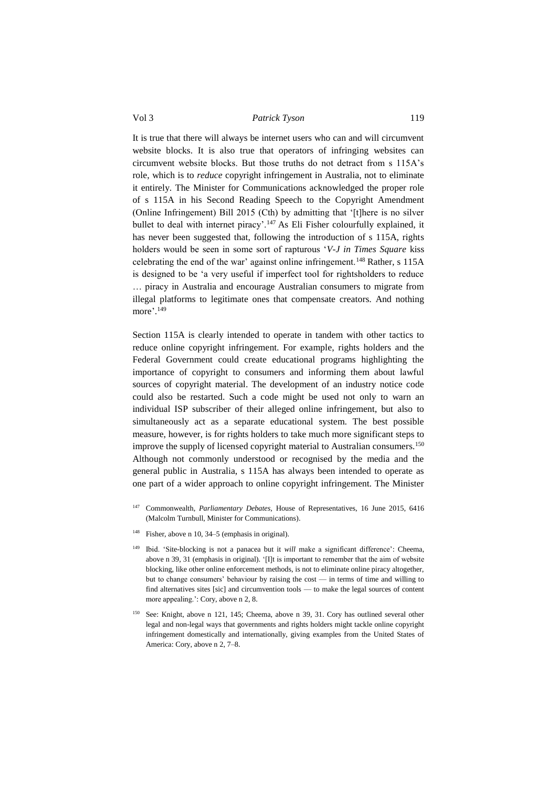It is true that there will always be internet users who can and will circumvent website blocks. It is also true that operators of infringing websites can circumvent website blocks. But those truths do not detract from s 115A's role, which is to *reduce* copyright infringement in Australia, not to eliminate it entirely. The Minister for Communications acknowledged the proper role of s 115A in his Second Reading Speech to the Copyright Amendment (Online Infringement) Bill 2015 (Cth) by admitting that '[t]here is no silver bullet to deal with internet piracy'.<sup>147</sup> As Eli Fisher colourfully explained, it has never been suggested that, following the introduction of s 115A, rights holders would be seen in some sort of rapturous '*V-J in Times Square* kiss celebrating the end of the war' against online infringement.<sup>148</sup> Rather, s 115A is designed to be 'a very useful if imperfect tool for rightsholders to reduce … piracy in Australia and encourage Australian consumers to migrate from illegal platforms to legitimate ones that compensate creators. And nothing more'. 149

Section 115A is clearly intended to operate in tandem with other tactics to reduce online copyright infringement. For example, rights holders and the Federal Government could create educational programs highlighting the importance of copyright to consumers and informing them about lawful sources of copyright material. The development of an industry notice code could also be restarted. Such a code might be used not only to warn an individual ISP subscriber of their alleged online infringement, but also to simultaneously act as a separate educational system. The best possible measure, however, is for rights holders to take much more significant steps to improve the supply of licensed copyright material to Australian consumers.<sup>150</sup> Although not commonly understood or recognised by the media and the general public in Australia, s 115A has always been intended to operate as one part of a wider approach to online copyright infringement. The Minister

- <sup>147</sup> Commonwealth, *Parliamentary Debates*, House of Representatives, 16 June 2015, 6416 (Malcolm Turnbull, Minister for Communications).
- <sup>148</sup> Fisher, above n 10, 34–5 (emphasis in original).
- <sup>149</sup> Ibid. 'Site-blocking is not a panacea but it *will* make a significant difference': Cheema, above n 39, 31 (emphasis in original). '[I]t is important to remember that the aim of website blocking, like other online enforcement methods, is not to eliminate online piracy altogether, but to change consumers' behaviour by raising the cost — in terms of time and willing to find alternatives sites [sic] and circumvention tools — to make the legal sources of content more appealing.': Cory, above n 2, 8.
- <sup>150</sup> See: Knight, above n 121, 145; Cheema, above n 39, 31. Cory has outlined several other legal and non-legal ways that governments and rights holders might tackle online copyright infringement domestically and internationally, giving examples from the United States of America: Cory, above n 2, 7–8.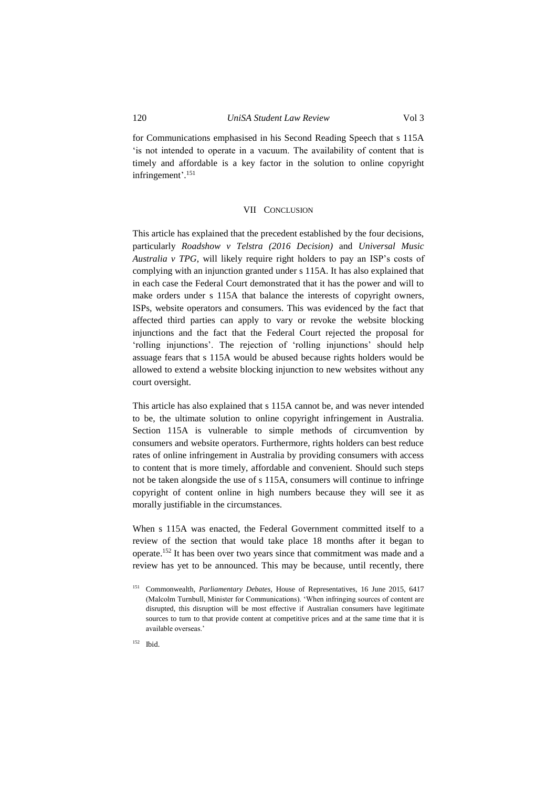for Communications emphasised in his Second Reading Speech that s 115A 'is not intended to operate in a vacuum. The availability of content that is timely and affordable is a key factor in the solution to online copyright infringement'. 151

# VII CONCLUSION

<span id="page-33-0"></span>This article has explained that the precedent established by the four decisions, particularly *Roadshow v Telstra (2016 Decision)* and *Universal Music Australia v TPG*, will likely require right holders to pay an ISP's costs of complying with an injunction granted under s 115A. It has also explained that in each case the Federal Court demonstrated that it has the power and will to make orders under s 115A that balance the interests of copyright owners, ISPs, website operators and consumers. This was evidenced by the fact that affected third parties can apply to vary or revoke the website blocking injunctions and the fact that the Federal Court rejected the proposal for 'rolling injunctions'. The rejection of 'rolling injunctions' should help assuage fears that s 115A would be abused because rights holders would be allowed to extend a website blocking injunction to new websites without any court oversight.

This article has also explained that s 115A cannot be, and was never intended to be, the ultimate solution to online copyright infringement in Australia. Section 115A is vulnerable to simple methods of circumvention by consumers and website operators. Furthermore, rights holders can best reduce rates of online infringement in Australia by providing consumers with access to content that is more timely, affordable and convenient. Should such steps not be taken alongside the use of s 115A, consumers will continue to infringe copyright of content online in high numbers because they will see it as morally justifiable in the circumstances.

When s 115A was enacted, the Federal Government committed itself to a review of the section that would take place 18 months after it began to operate.<sup>152</sup> It has been over two years since that commitment was made and a review has yet to be announced. This may be because, until recently, there

<sup>152</sup> Ibid.

<sup>151</sup> Commonwealth, *Parliamentary Debates,* House of Representatives, 16 June 2015, 6417 (Malcolm Turnbull, Minister for Communications). 'When infringing sources of content are disrupted, this disruption will be most effective if Australian consumers have legitimate sources to turn to that provide content at competitive prices and at the same time that it is available overseas.'